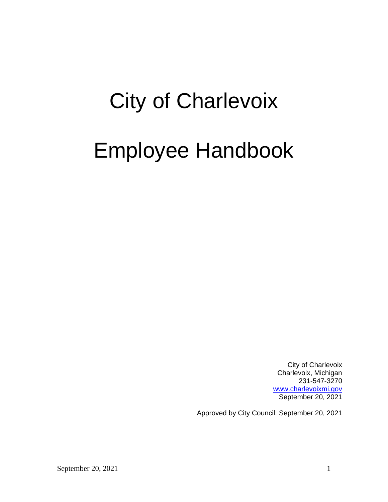# City of Charlevoix

# Employee Handbook

City of Charlevoix Charlevoix, Michigan 231-547-3270 [www.charlevoixmi.gov](http://www.charlevoixmi.gov/) September 20, 2021

Approved by City Council: September 20, 2021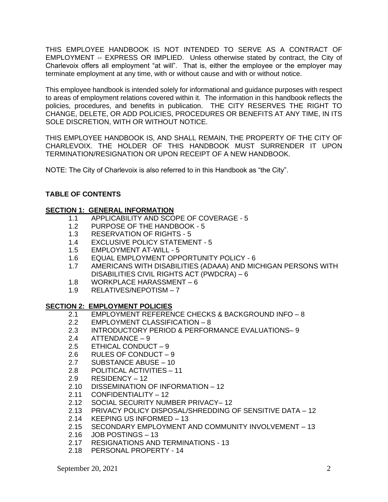THIS EMPLOYEE HANDBOOK IS NOT INTENDED TO SERVE AS A CONTRACT OF EMPLOYMENT -- EXPRESS OR IMPLIED. Unless otherwise stated by contract, the City of Charlevoix offers all employment "at will". That is, either the employee or the employer may terminate employment at any time, with or without cause and with or without notice.

This employee handbook is intended solely for informational and guidance purposes with respect to areas of employment relations covered within it. The information in this handbook reflects the policies, procedures, and benefits in publication. THE CITY RESERVES THE RIGHT TO CHANGE, DELETE, OR ADD POLICIES, PROCEDURES OR BENEFITS AT ANY TIME, IN ITS SOLE DISCRETION, WITH OR WITHOUT NOTICE.

THIS EMPLOYEE HANDBOOK IS, AND SHALL REMAIN, THE PROPERTY OF THE CITY OF CHARLEVOIX. THE HOLDER OF THIS HANDBOOK MUST SURRENDER IT UPON TERMINATION/RESIGNATION OR UPON RECEIPT OF A NEW HANDBOOK.

NOTE: The City of Charlevoix is also referred to in this Handbook as "the City".

# **TABLE OF CONTENTS**

## **SECTION 1: GENERAL INFORMATION**

- 1.1 APPLICABILITY AND SCOPE OF COVERAGE 5
- 1.2 PURPOSE OF THE HANDBOOK 5
- 1.3 RESERVATION OF RIGHTS 5
- 1.4 EXCLUSIVE POLICY STATEMENT 5
- 1.5 EMPLOYMENT AT-WILL 5
- 1.6 EQUAL EMPLOYMENT OPPORTUNITY POLICY 6
- 1.7 AMERICANS WITH DISABILITIES (ADAAA) AND MICHIGAN PERSONS WITH DISABILITIES CIVIL RIGHTS ACT (PWDCRA) – 6
- 1.8 WORKPLACE HARASSMENT 6
- 1.9 RELATIVES/NEPOTISM 7

#### **SECTION 2: EMPLOYMENT POLICIES**

- 2.1 EMPLOYMENT REFERENCE CHECKS & BACKGROUND INFO 8
- 2.2 EMPLOYMENT CLASSIFICATION 8
- 2.3 INTRODUCTORY PERIOD & PERFORMANCE EVALUATIONS– 9
- 2.4 ATTENDANCE 9
- 2.5 ETHICAL CONDUCT 9
- 2.6 RULES OF CONDUCT 9
- 2.7 SUBSTANCE ABUSE 10
- 2.8 POLITICAL ACTIVITIES 11
- 2.9 RESIDENCY 12
- 2.10 DISSEMINATION OF INFORMATION 12
- 2.11 CONFIDENTIALITY 12
- 2.12 SOCIAL SECURITY NUMBER PRIVACY– 12
- 2.13 PRIVACY POLICY DISPOSAL/SHREDDING OF SENSITIVE DATA 12
- 2.14 KEEPING US INFORMED 13
- 2.15 SECONDARY EMPLOYMENT AND COMMUNITY INVOLVEMENT 13
- 2.16 JOB POSTINGS 13
- 2.17 RESIGNATIONS AND TERMINATIONS 13
- 2.18 PERSONAL PROPERTY 14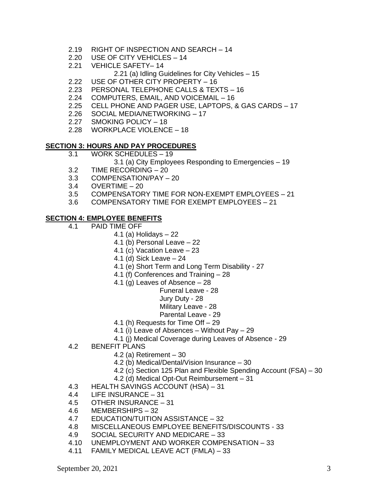- 2.19 RIGHT OF INSPECTION AND SEARCH 14
- 2.20 USE OF CITY VEHICLES 14
- 2.21 VEHICLE SAFETY– 14
	- 2.21 (a) Idling Guidelines for City Vehicles 15
- 2.22 USE OF OTHER CITY PROPERTY 16
- 2.23 PERSONAL TELEPHONE CALLS & TEXTS 16
- 2.24 COMPUTERS, EMAIL, AND VOICEMAIL 16
- 2.25 CELL PHONE AND PAGER USE, LAPTOPS, & GAS CARDS 17
- 2.26 SOCIAL MEDIA/NETWORKING 17
- 2.27 SMOKING POLICY 18
- 2.28 WORKPLACE VIOLENCE 18

#### **SECTION 3: HOURS AND PAY PROCEDURES**

- 3.1 WORK SCHEDULES 19
	- 3.1 (a) City Employees Responding to Emergencies 19
- 3.2 TIME RECORDING 20
- 3.3 COMPENSATION/PAY 20
- 3.4 OVERTIME 20
- 3.5 COMPENSATORY TIME FOR NON-EXEMPT EMPLOYEES 21
- 3.6 COMPENSATORY TIME FOR EXEMPT EMPLOYEES 21

#### **SECTION 4: EMPLOYEE BENEFITS**

- 4.1 PAID TIME OFF
	- 4.1 (a) Holidays 22
	- 4.1 (b) Personal Leave 22
	- 4.1 (c) Vacation Leave 23
	- 4.1 (d) Sick Leave 24
	- 4.1 (e) Short Term and Long Term Disability 27
	- 4.1 (f) Conferences and Training 28
	- 4.1 (g) Leaves of Absence 28
		- Funeral Leave 28
			- Jury Duty 28
			- Military Leave 28
		- Parental Leave 29
	- 4.1 (h) Requests for Time Off 29
	- 4.1 (i) Leave of Absences Without Pay 29
	- 4.1 (j) Medical Coverage during Leaves of Absence 29
- 4.2 BENEFIT PLANS
	- 4.2 (a) Retirement 30
	- 4.2 (b) Medical/Dental/Vision Insurance 30
	- 4.2 (c) Section 125 Plan and Flexible Spending Account (FSA) 30
	- 4.2 (d) Medical Opt-Out Reimbursement 31
- 4.3 HEALTH SAVINGS ACCOUNT (HSA) 31
- 4.4 LIFE INSURANCE 31
- 4.5 OTHER INSURANCE 31
- 4.6 MEMBERSHIPS 32
- 4.7 EDUCATION/TUITION ASSISTANCE 32
- 4.8 MISCELLANEOUS EMPLOYEE BENEFITS/DISCOUNTS 33
- 4.9 SOCIAL SECURITY AND MEDICARE 33
- 4.10 UNEMPLOYMENT AND WORKER COMPENSATION 33
- 4.11 FAMILY MEDICAL LEAVE ACT (FMLA) 33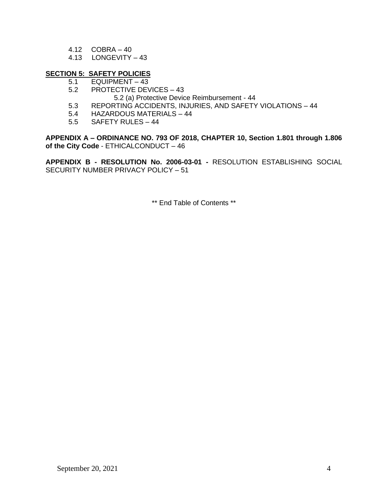- 4.12 COBRA 40
- 4.13 LONGEVITY 43

#### **SECTION 5: SAFETY POLICIES**

- 5.1 EQUIPMENT 43
- 5.2 PROTECTIVE DEVICES 43
	- 5.2 (a) Protective Device Reimbursement 44
- 5.3 REPORTING ACCIDENTS, INJURIES, AND SAFETY VIOLATIONS 44
- 5.4 HAZARDOUS MATERIALS 44
- 5.5 SAFETY RULES 44

**APPENDIX A – ORDINANCE NO. 793 OF 2018, CHAPTER 10, Section 1.801 through 1.806 of the City Code** - ETHICALCONDUCT – 46

**APPENDIX B - RESOLUTION No. 2006-03-01 -** RESOLUTION ESTABLISHING SOCIAL SECURITY NUMBER PRIVACY POLICY – 51

\*\* End Table of Contents \*\*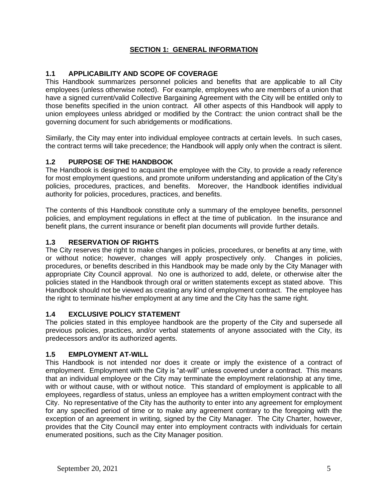# **SECTION 1: GENERAL INFORMATION**

# **1.1 APPLICABILITY AND SCOPE OF COVERAGE**

This Handbook summarizes personnel policies and benefits that are applicable to all City employees (unless otherwise noted). For example, employees who are members of a union that have a signed current/valid Collective Bargaining Agreement with the City will be entitled only to those benefits specified in the union contract. All other aspects of this Handbook will apply to union employees unless abridged or modified by the Contract: the union contract shall be the governing document for such abridgements or modifications.

Similarly, the City may enter into individual employee contracts at certain levels. In such cases, the contract terms will take precedence; the Handbook will apply only when the contract is silent.

# **1.2 PURPOSE OF THE HANDBOOK**

The Handbook is designed to acquaint the employee with the City, to provide a ready reference for most employment questions, and promote uniform understanding and application of the City's policies, procedures, practices, and benefits. Moreover, the Handbook identifies individual authority for policies, procedures, practices, and benefits.

The contents of this Handbook constitute only a summary of the employee benefits, personnel policies, and employment regulations in effect at the time of publication. In the insurance and benefit plans, the current insurance or benefit plan documents will provide further details.

## **1.3 RESERVATION OF RIGHTS**

The City reserves the right to make changes in policies, procedures, or benefits at any time, with or without notice; however, changes will apply prospectively only. Changes in policies, procedures, or benefits described in this Handbook may be made only by the City Manager with appropriate City Council approval. No one is authorized to add, delete, or otherwise alter the policies stated in the Handbook through oral or written statements except as stated above. This Handbook should not be viewed as creating any kind of employment contract. The employee has the right to terminate his/her employment at any time and the City has the same right.

#### **1.4 EXCLUSIVE POLICY STATEMENT**

The policies stated in this employee handbook are the property of the City and supersede all previous policies, practices, and/or verbal statements of anyone associated with the City, its predecessors and/or its authorized agents.

#### **1.5 EMPLOYMENT AT-WILL**

This Handbook is not intended nor does it create or imply the existence of a contract of employment. Employment with the City is "at-will" unless covered under a contract. This means that an individual employee or the City may terminate the employment relationship at any time, with or without cause, with or without notice. This standard of employment is applicable to all employees, regardless of status, unless an employee has a written employment contract with the City. No representative of the City has the authority to enter into any agreement for employment for any specified period of time or to make any agreement contrary to the foregoing with the exception of an agreement in writing, signed by the City Manager. The City Charter, however, provides that the City Council may enter into employment contracts with individuals for certain enumerated positions, such as the City Manager position.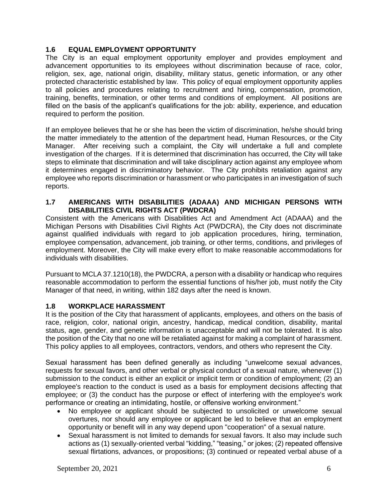## **1.6 EQUAL EMPLOYMENT OPPORTUNITY**

The City is an equal employment opportunity employer and provides employment and advancement opportunities to its employees without discrimination because of race, color, religion, sex, age, national origin, disability, military status, genetic information, or any other protected characteristic established by law. This policy of equal employment opportunity applies to all policies and procedures relating to recruitment and hiring, compensation, promotion, training, benefits, termination, or other terms and conditions of employment. All positions are filled on the basis of the applicant's qualifications for the job: ability, experience, and education required to perform the position.

If an employee believes that he or she has been the victim of discrimination, he/she should bring the matter immediately to the attention of the department head, Human Resources, or the City Manager. After receiving such a complaint, the City will undertake a full and complete investigation of the charges. If it is determined that discrimination has occurred, the City will take steps to eliminate that discrimination and will take disciplinary action against any employee whom it determines engaged in discriminatory behavior. The City prohibits retaliation against any employee who reports discrimination or harassment or who participates in an investigation of such reports.

#### **1.7 AMERICANS WITH DISABILITIES (ADAAA) AND MICHIGAN PERSONS WITH DISABILITIES CIVIL RIGHTS ACT (PWDCRA)**

Consistent with the Americans with Disabilities Act and Amendment Act (ADAAA) and the Michigan Persons with Disabilities Civil Rights Act (PWDCRA), the City does not discriminate against qualified individuals with regard to job application procedures, hiring, termination, employee compensation, advancement, job training, or other terms, conditions, and privileges of employment. Moreover, the City will make every effort to make reasonable accommodations for individuals with disabilities.

Pursuant to MCLA 37.1210(18), the PWDCRA, a person with a disability or handicap who requires reasonable accommodation to perform the essential functions of his/her job, must notify the City Manager of that need, in writing, within 182 days after the need is known.

#### **1.8 WORKPLACE HARASSMENT**

It is the position of the City that harassment of applicants, employees, and others on the basis of race, religion, color, national origin, ancestry, handicap, medical condition, disability, marital status, age, gender, and genetic information is unacceptable and will not be tolerated. It is also the position of the City that no one will be retaliated against for making a complaint of harassment. This policy applies to all employees, contractors, vendors, and others who represent the City.

Sexual harassment has been defined generally as including "unwelcome sexual advances, requests for sexual favors, and other verbal or physical conduct of a sexual nature, whenever (1) submission to the conduct is either an explicit or implicit term or condition of employment; (2) an employee's reaction to the conduct is used as a basis for employment decisions affecting that employee; or (3) the conduct has the purpose or effect of interfering with the employee's work performance or creating an intimidating, hostile, or offensive working environment."

- No employee or applicant should be subjected to unsolicited or unwelcome sexual overtures, nor should any employee or applicant be led to believe that an employment opportunity or benefit will in any way depend upon "cooperation" of a sexual nature.
- Sexual harassment is not limited to demands for sexual favors. It also may include such actions as (1) sexually-oriented verbal "kidding," "teasing," or jokes; (2) repeated offensive sexual flirtations, advances, or propositions; (3) continued or repeated verbal abuse of a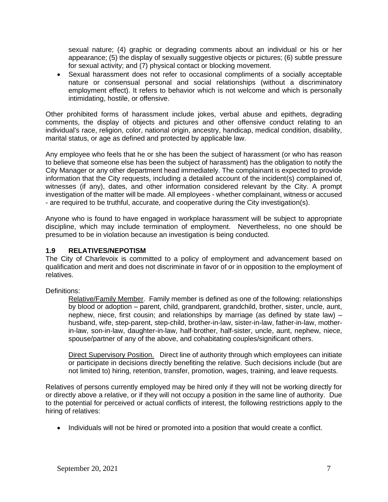sexual nature; (4) graphic or degrading comments about an individual or his or her appearance; (5) the display of sexually suggestive objects or pictures; (6) subtle pressure for sexual activity; and (7) physical contact or blocking movement.

• Sexual harassment does not refer to occasional compliments of a socially acceptable nature or consensual personal and social relationships (without a discriminatory employment effect). It refers to behavior which is not welcome and which is personally intimidating, hostile, or offensive.

Other prohibited forms of harassment include jokes, verbal abuse and epithets, degrading comments, the display of objects and pictures and other offensive conduct relating to an individual's race, religion, color, national origin, ancestry, handicap, medical condition, disability, marital status, or age as defined and protected by applicable law.

Any employee who feels that he or she has been the subject of harassment (or who has reason to believe that someone else has been the subject of harassment) has the obligation to notify the City Manager or any other department head immediately. The complainant is expected to provide information that the City requests, including a detailed account of the incident(s) complained of, witnesses (if any), dates, and other information considered relevant by the City. A prompt investigation of the matter will be made. All employees - whether complainant, witness or accused - are required to be truthful, accurate, and cooperative during the City investigation(s).

Anyone who is found to have engaged in workplace harassment will be subject to appropriate discipline, which may include termination of employment. Nevertheless, no one should be presumed to be in violation because an investigation is being conducted.

#### **1.9 RELATIVES/NEPOTISM**

The City of Charlevoix is committed to a policy of employment and advancement based on qualification and merit and does not discriminate in favor of or in opposition to the employment of relatives.

Definitions:

Relative/Family Member. Family member is defined as one of the following: relationships by blood or adoption – parent, child, grandparent, grandchild, brother, sister, uncle, aunt, nephew, niece, first cousin; and relationships by marriage (as defined by state law) – husband, wife, step-parent, step-child, brother-in-law, sister-in-law, father-in-law, motherin-law, son-in-law, daughter-in-law, half-brother, half-sister, uncle, aunt, nephew, niece, spouse/partner of any of the above, and cohabitating couples/significant others.

Direct Supervisory Position. Direct line of authority through which employees can initiate or participate in decisions directly benefiting the relative. Such decisions include (but are not limited to) hiring, retention, transfer, promotion, wages, training, and leave requests.

Relatives of persons currently employed may be hired only if they will not be working directly for or directly above a relative, or if they will not occupy a position in the same line of authority. Due to the potential for perceived or actual conflicts of interest, the following restrictions apply to the hiring of relatives:

• Individuals will not be hired or promoted into a position that would create a conflict.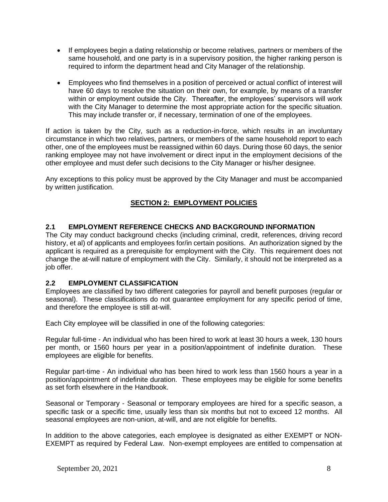- If employees begin a dating relationship or become relatives, partners or members of the same household, and one party is in a supervisory position, the higher ranking person is required to inform the department head and City Manager of the relationship.
- Employees who find themselves in a position of perceived or actual conflict of interest will have 60 days to resolve the situation on their own, for example, by means of a transfer within or employment outside the City. Thereafter, the employees' supervisors will work with the City Manager to determine the most appropriate action for the specific situation. This may include transfer or, if necessary, termination of one of the employees.

If action is taken by the City, such as a reduction-in-force, which results in an involuntary circumstance in which two relatives, partners, or members of the same household report to each other, one of the employees must be reassigned within 60 days. During those 60 days, the senior ranking employee may not have involvement or direct input in the employment decisions of the other employee and must defer such decisions to the City Manager or his/her designee.

Any exceptions to this policy must be approved by the City Manager and must be accompanied by written justification.

# **SECTION 2: EMPLOYMENT POLICIES**

## **2.1 EMPLOYMENT REFERENCE CHECKS AND BACKGROUND INFORMATION**

The City may conduct background checks (including criminal, credit, references, driving record history, et al) of applicants and employees for/in certain positions. An authorization signed by the applicant is required as a prerequisite for employment with the City. This requirement does not change the at-will nature of employment with the City. Similarly, it should not be interpreted as a job offer.

#### **2.2 EMPLOYMENT CLASSIFICATION**

Employees are classified by two different categories for payroll and benefit purposes (regular or seasonal). These classifications do not guarantee employment for any specific period of time, and therefore the employee is still at-will.

Each City employee will be classified in one of the following categories:

Regular full-time - An individual who has been hired to work at least 30 hours a week, 130 hours per month, or 1560 hours per year in a position/appointment of indefinite duration. These employees are eligible for benefits.

Regular part-time - An individual who has been hired to work less than 1560 hours a year in a position/appointment of indefinite duration. These employees may be eligible for some benefits as set forth elsewhere in the Handbook.

Seasonal or Temporary - Seasonal or temporary employees are hired for a specific season, a specific task or a specific time, usually less than six months but not to exceed 12 months. All seasonal employees are non-union, at-will, and are not eligible for benefits.

In addition to the above categories, each employee is designated as either EXEMPT or NON-EXEMPT as required by Federal Law. Non-exempt employees are entitled to compensation at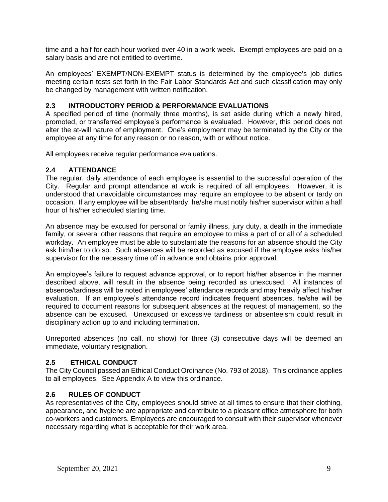time and a half for each hour worked over 40 in a work week. Exempt employees are paid on a salary basis and are not entitled to overtime.

An employees' EXEMPT/NON-EXEMPT status is determined by the employee's job duties meeting certain tests set forth in the Fair Labor Standards Act and such classification may only be changed by management with written notification.

## **2.3 INTRODUCTORY PERIOD & PERFORMANCE EVALUATIONS**

A specified period of time (normally three months), is set aside during which a newly hired, promoted, or transferred employee's performance is evaluated. However, this period does not alter the at-will nature of employment. One's employment may be terminated by the City or the employee at any time for any reason or no reason, with or without notice.

All employees receive regular performance evaluations.

#### **2.4 ATTENDANCE**

The regular, daily attendance of each employee is essential to the successful operation of the City. Regular and prompt attendance at work is required of all employees. However, it is understood that unavoidable circumstances may require an employee to be absent or tardy on occasion. If any employee will be absent/tardy, he/she must notify his/her supervisor within a half hour of his/her scheduled starting time.

An absence may be excused for personal or family illness, jury duty, a death in the immediate family, or several other reasons that require an employee to miss a part of or all of a scheduled workday. An employee must be able to substantiate the reasons for an absence should the City ask him/her to do so. Such absences will be recorded as excused if the employee asks his/her supervisor for the necessary time off in advance and obtains prior approval.

An employee's failure to request advance approval, or to report his/her absence in the manner described above, will result in the absence being recorded as unexcused. All instances of absence/tardiness will be noted in employees' attendance records and may heavily affect his/her evaluation. If an employee's attendance record indicates frequent absences, he/she will be required to document reasons for subsequent absences at the request of management, so the absence can be excused. Unexcused or excessive tardiness or absenteeism could result in disciplinary action up to and including termination.

Unreported absences (no call, no show) for three (3) consecutive days will be deemed an immediate, voluntary resignation.

#### **2.5 ETHICAL CONDUCT**

The City Council passed an Ethical Conduct Ordinance (No. 793 of 2018). This ordinance applies to all employees. See Appendix A to view this ordinance.

#### **2.6 RULES OF CONDUCT**

As representatives of the City, employees should strive at all times to ensure that their clothing, appearance, and hygiene are appropriate and contribute to a pleasant office atmosphere for both co-workers and customers. Employees are encouraged to consult with their supervisor whenever necessary regarding what is acceptable for their work area.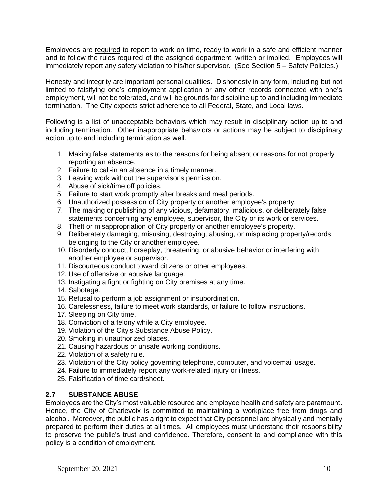Employees are required to report to work on time, ready to work in a safe and efficient manner and to follow the rules required of the assigned department, written or implied. Employees will immediately report any safety violation to his/her supervisor. (See Section 5 – Safety Policies.)

Honesty and integrity are important personal qualities. Dishonesty in any form, including but not limited to falsifying one's employment application or any other records connected with one's employment, will not be tolerated, and will be grounds for discipline up to and including immediate termination. The City expects strict adherence to all Federal, State, and Local laws.

Following is a list of unacceptable behaviors which may result in disciplinary action up to and including termination. Other inappropriate behaviors or actions may be subject to disciplinary action up to and including termination as well.

- 1. Making false statements as to the reasons for being absent or reasons for not properly reporting an absence.
- 2. Failure to call-in an absence in a timely manner.
- 3. Leaving work without the supervisor's permission.
- 4. Abuse of sick/time off policies.
- 5. Failure to start work promptly after breaks and meal periods.
- 6. Unauthorized possession of City property or another employee's property.
- 7. The making or publishing of any vicious, defamatory, malicious, or deliberately false statements concerning any employee, supervisor, the City or its work or services.
- 8. Theft or misappropriation of City property or another employee's property.
- 9. Deliberately damaging, misusing, destroying, abusing, or misplacing property/records belonging to the City or another employee.
- 10. Disorderly conduct, horseplay, threatening, or abusive behavior or interfering with another employee or supervisor.
- 11. Discourteous conduct toward citizens or other employees.
- 12. Use of offensive or abusive language.
- 13. Instigating a fight or fighting on City premises at any time.
- 14. Sabotage.
- 15. Refusal to perform a job assignment or insubordination.
- 16. Carelessness, failure to meet work standards, or failure to follow instructions.
- 17. Sleeping on City time.
- 18. Conviction of a felony while a City employee.
- 19. Violation of the City's Substance Abuse Policy.
- 20. Smoking in unauthorized places.
- 21. Causing hazardous or unsafe working conditions.
- 22. Violation of a safety rule.
- 23. Violation of the City policy governing telephone, computer, and voicemail usage.
- 24. Failure to immediately report any work-related injury or illness.
- 25. Falsification of time card/sheet.

# **2.7 SUBSTANCE ABUSE**

Employees are the City's most valuable resource and employee health and safety are paramount. Hence, the City of Charlevoix is committed to maintaining a workplace free from drugs and alcohol. Moreover, the public has a right to expect that City personnel are physically and mentally prepared to perform their duties at all times. All employees must understand their responsibility to preserve the public's trust and confidence. Therefore, consent to and compliance with this policy is a condition of employment.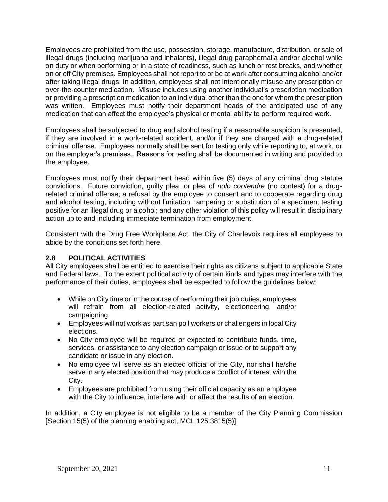Employees are prohibited from the use, possession, storage, manufacture, distribution, or sale of illegal drugs (including marijuana and inhalants), illegal drug paraphernalia and/or alcohol while on duty or when performing or in a state of readiness, such as lunch or rest breaks, and whether on or off City premises. Employees shall not report to or be at work after consuming alcohol and/or after taking illegal drugs. In addition, employees shall not intentionally misuse any prescription or over-the-counter medication. Misuse includes using another individual's prescription medication or providing a prescription medication to an individual other than the one for whom the prescription was written. Employees must notify their department heads of the anticipated use of any medication that can affect the employee's physical or mental ability to perform required work.

Employees shall be subjected to drug and alcohol testing if a reasonable suspicion is presented, if they are involved in a work-related accident, and/or if they are charged with a drug-related criminal offense. Employees normally shall be sent for testing only while reporting to, at work, or on the employer's premises. Reasons for testing shall be documented in writing and provided to the employee.

Employees must notify their department head within five (5) days of any criminal drug statute convictions. Future conviction, guilty plea, or plea of *nolo contendre* (no contest) for a drugrelated criminal offense; a refusal by the employee to consent and to cooperate regarding drug and alcohol testing, including without limitation, tampering or substitution of a specimen; testing positive for an illegal drug or alcohol; and any other violation of this policy will result in disciplinary action up to and including immediate termination from employment.

Consistent with the Drug Free Workplace Act, the City of Charlevoix requires all employees to abide by the conditions set forth here.

# **2.8 POLITICAL ACTIVITIES**

All City employees shall be entitled to exercise their rights as citizens subject to applicable State and Federal laws. To the extent political activity of certain kinds and types may interfere with the performance of their duties, employees shall be expected to follow the guidelines below:

- While on City time or in the course of performing their job duties, employees will refrain from all election-related activity, electioneering, and/or campaigning.
- Employees will not work as partisan poll workers or challengers in local City elections.
- No City employee will be required or expected to contribute funds, time, services, or assistance to any election campaign or issue or to support any candidate or issue in any election.
- No employee will serve as an elected official of the City, nor shall he/she serve in any elected position that may produce a conflict of interest with the City.
- Employees are prohibited from using their official capacity as an employee with the City to influence, interfere with or affect the results of an election.

In addition, a City employee is not eligible to be a member of the City Planning Commission [Section 15(5) of the planning enabling act, MCL 125.3815(5)].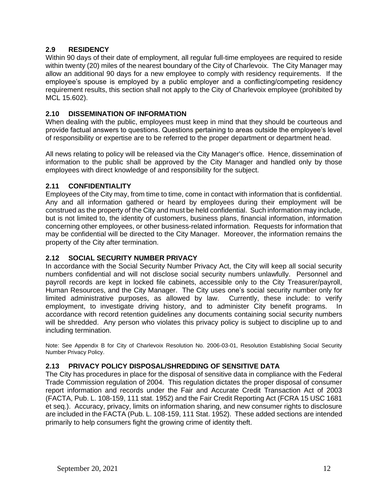# **2.9 RESIDENCY**

Within 90 days of their date of employment, all regular full-time employees are required to reside within twenty (20) miles of the nearest boundary of the City of Charlevoix. The City Manager may allow an additional 90 days for a new employee to comply with residency requirements. If the employee's spouse is employed by a public employer and a conflicting/competing residency requirement results, this section shall not apply to the City of Charlevoix employee (prohibited by MCL 15.602).

## **2.10 DISSEMINATION OF INFORMATION**

When dealing with the public, employees must keep in mind that they should be courteous and provide factual answers to questions. Questions pertaining to areas outside the employee's level of responsibility or expertise are to be referred to the proper department or department head.

All news relating to policy will be released via the City Manager's office. Hence, dissemination of information to the public shall be approved by the City Manager and handled only by those employees with direct knowledge of and responsibility for the subject.

# **2.11 CONFIDENTIALITY**

Employees of the City may, from time to time, come in contact with information that is confidential. Any and all information gathered or heard by employees during their employment will be construed as the property of the City and must be held confidential. Such information may include, but is not limited to, the identity of customers, business plans, financial information, information concerning other employees, or other business-related information. Requests for information that may be confidential will be directed to the City Manager. Moreover, the information remains the property of the City after termination.

# **2.12 SOCIAL SECURITY NUMBER PRIVACY**

In accordance with the Social Security Number Privacy Act, the City will keep all social security numbers confidential and will not disclose social security numbers unlawfully. Personnel and payroll records are kept in locked file cabinets, accessible only to the City Treasurer/payroll, Human Resources, and the City Manager. The City uses one's social security number only for limited administrative purposes, as allowed by law. Currently, these include: to verify employment, to investigate driving history, and to administer City benefit programs. In accordance with record retention guidelines any documents containing social security numbers will be shredded. Any person who violates this privacy policy is subject to discipline up to and including termination.

Note: See Appendix B for City of Charlevoix Resolution No. 2006-03-01, Resolution Establishing Social Security Number Privacy Policy.

## **2.13 PRIVACY POLICY DISPOSAL/SHREDDING OF SENSITIVE DATA**

The City has procedures in place for the disposal of sensitive data in compliance with the Federal Trade Commission regulation of 2004. This regulation dictates the proper disposal of consumer report information and records under the Fair and Accurate Credit Transaction Act of 2003 (FACTA, Pub. L. 108-159, 111 stat. 1952) and the Fair Credit Reporting Act (FCRA 15 USC 1681 et seq.). Accuracy, privacy, limits on information sharing, and new consumer rights to disclosure are included in the FACTA (Pub. L. 108-159, 111 Stat. 1952). These added sections are intended primarily to help consumers fight the growing crime of identity theft.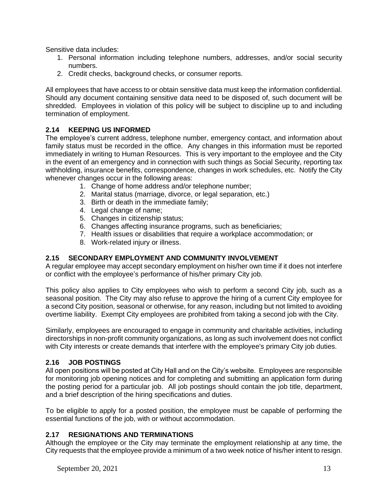Sensitive data includes:

- 1. Personal information including telephone numbers, addresses, and/or social security numbers.
- 2. Credit checks, background checks, or consumer reports.

All employees that have access to or obtain sensitive data must keep the information confidential. Should any document containing sensitive data need to be disposed of, such document will be shredded. Employees in violation of this policy will be subject to discipline up to and including termination of employment.

# **2.14 KEEPING US INFORMED**

The employee's current address, telephone number, emergency contact, and information about family status must be recorded in the office. Any changes in this information must be reported immediately in writing to Human Resources. This is very important to the employee and the City in the event of an emergency and in connection with such things as Social Security, reporting tax withholding, insurance benefits, correspondence, changes in work schedules, etc. Notify the City whenever changes occur in the following areas:

- 1. Change of home address and/or telephone number;
- 2. Marital status (marriage, divorce, or legal separation, etc.)
- 3. Birth or death in the immediate family;
- 4. Legal change of name;
- 5. Changes in citizenship status;
- 6. Changes affecting insurance programs, such as beneficiaries;
- 7. Health issues or disabilities that require a workplace accommodation; or
- 8. Work-related injury or illness.

# **2.15 SECONDARY EMPLOYMENT AND COMMUNITY INVOLVEMENT**

A regular employee may accept secondary employment on his/her own time if it does not interfere or conflict with the employee's performance of his/her primary City job.

This policy also applies to City employees who wish to perform a second City job, such as a seasonal position. The City may also refuse to approve the hiring of a current City employee for a second City position, seasonal or otherwise, for any reason, including but not limited to avoiding overtime liability. Exempt City employees are prohibited from taking a second job with the City.

Similarly, employees are encouraged to engage in community and charitable activities, including directorships in non-profit community organizations, as long as such involvement does not conflict with City interests or create demands that interfere with the employee's primary City job duties.

#### **2.16 JOB POSTINGS**

All open positions will be posted at City Hall and on the City's website. Employees are responsible for monitoring job opening notices and for completing and submitting an application form during the posting period for a particular job. All job postings should contain the job title, department, and a brief description of the hiring specifications and duties.

To be eligible to apply for a posted position, the employee must be capable of performing the essential functions of the job, with or without accommodation.

#### **2.17 RESIGNATIONS AND TERMINATIONS**

Although the employee or the City may terminate the employment relationship at any time, the City requests that the employee provide a minimum of a two week notice of his/her intent to resign.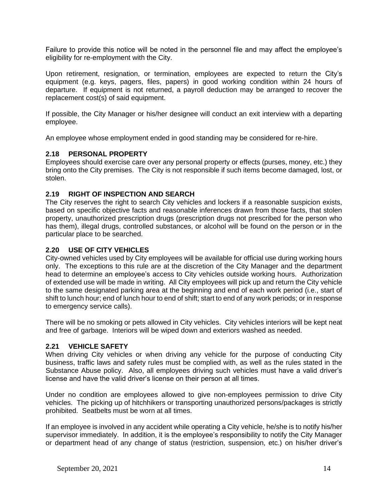Failure to provide this notice will be noted in the personnel file and may affect the employee's eligibility for re-employment with the City.

Upon retirement, resignation, or termination, employees are expected to return the City's equipment (e.g. keys, pagers, files, papers) in good working condition within 24 hours of departure. If equipment is not returned, a payroll deduction may be arranged to recover the replacement cost(s) of said equipment.

If possible, the City Manager or his/her designee will conduct an exit interview with a departing employee.

An employee whose employment ended in good standing may be considered for re-hire.

#### **2.18 PERSONAL PROPERTY**

Employees should exercise care over any personal property or effects (purses, money, etc.) they bring onto the City premises. The City is not responsible if such items become damaged, lost, or stolen.

#### **2.19 RIGHT OF INSPECTION AND SEARCH**

The City reserves the right to search City vehicles and lockers if a reasonable suspicion exists, based on specific objective facts and reasonable inferences drawn from those facts, that stolen property, unauthorized prescription drugs (prescription drugs not prescribed for the person who has them), illegal drugs, controlled substances, or alcohol will be found on the person or in the particular place to be searched.

#### **2.20 USE OF CITY VEHICLES**

City-owned vehicles used by City employees will be available for official use during working hours only. The exceptions to this rule are at the discretion of the City Manager and the department head to determine an employee's access to City vehicles outside working hours. Authorization of extended use will be made in writing. All City employees will pick up and return the City vehicle to the same designated parking area at the beginning and end of each work period (i.e., start of shift to lunch hour; end of lunch hour to end of shift; start to end of any work periods; or in response to emergency service calls).

There will be no smoking or pets allowed in City vehicles. City vehicles interiors will be kept neat and free of garbage. Interiors will be wiped down and exteriors washed as needed.

#### **2.21 VEHICLE SAFETY**

When driving City vehicles or when driving any vehicle for the purpose of conducting City business, traffic laws and safety rules must be complied with, as well as the rules stated in the Substance Abuse policy. Also, all employees driving such vehicles must have a valid driver's license and have the valid driver's license on their person at all times.

Under no condition are employees allowed to give non-employees permission to drive City vehicles. The picking up of hitchhikers or transporting unauthorized persons/packages is strictly prohibited. Seatbelts must be worn at all times.

If an employee is involved in any accident while operating a City vehicle, he/she is to notify his/her supervisor immediately. In addition, it is the employee's responsibility to notify the City Manager or department head of any change of status (restriction, suspension, etc.) on his/her driver's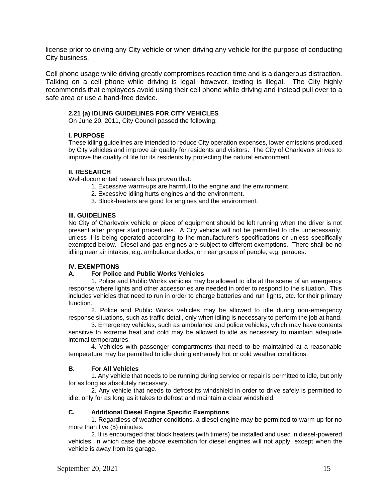license prior to driving any City vehicle or when driving any vehicle for the purpose of conducting City business.

Cell phone usage while driving greatly compromises reaction time and is a dangerous distraction. Talking on a cell phone while driving is legal, however, texting is illegal. The City highly recommends that employees avoid using their cell phone while driving and instead pull over to a safe area or use a hand-free device.

#### **2.21 (a) IDLING GUIDELINES FOR CITY VEHICLES**

On June 20, 2011, City Council passed the following:

#### **I. PURPOSE**

These idling guidelines are intended to reduce City operation expenses, lower emissions produced by City vehicles and improve air quality for residents and visitors. The City of Charlevoix strives to improve the quality of life for its residents by protecting the natural environment.

#### **II. RESEARCH**

Well-documented research has proven that:

- 1. Excessive warm-ups are harmful to the engine and the environment.
- 2. Excessive idling hurts engines and the environment.
- 3. Block-heaters are good for engines and the environment.

#### **III. GUIDELINES**

No City of Charlevoix vehicle or piece of equipment should be left running when the driver is not present after proper start procedures. A City vehicle will not be permitted to idle unnecessarily, unless it is being operated according to the manufacturer's specifications or unless specifically exempted below. Diesel and gas engines are subject to different exemptions. There shall be no idling near air intakes, e.g. ambulance docks, or near groups of people, e.g. parades.

#### **IV. EXEMPTIONS**

#### **A. For Police and Public Works Vehicles**

1. Police and Public Works vehicles may be allowed to idle at the scene of an emergency response where lights and other accessories are needed in order to respond to the situation. This includes vehicles that need to run in order to charge batteries and run lights, etc. for their primary function.

2. Police and Public Works vehicles may be allowed to idle during non-emergency response situations, such as traffic detail, only when idling is necessary to perform the job at hand.

3. Emergency vehicles, such as ambulance and police vehicles, which may have contents sensitive to extreme heat and cold may be allowed to idle as necessary to maintain adequate internal temperatures.

4. Vehicles with passenger compartments that need to be maintained at a reasonable temperature may be permitted to idle during extremely hot or cold weather conditions.

#### **B. For All Vehicles**

1. Any vehicle that needs to be running during service or repair is permitted to idle, but only for as long as absolutely necessary.

2. Any vehicle that needs to defrost its windshield in order to drive safely is permitted to idle, only for as long as it takes to defrost and maintain a clear windshield.

#### **C. Additional Diesel Engine Specific Exemptions**

1. Regardless of weather conditions, a diesel engine may be permitted to warm up for no more than five (5) minutes.

2. It is encouraged that block heaters (with timers) be installed and used in diesel-powered vehicles, in which case the above exemption for diesel engines will not apply, except when the vehicle is away from its garage.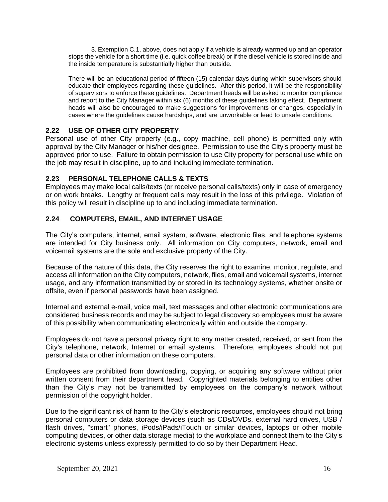3. Exemption C.1, above, does not apply if a vehicle is already warmed up and an operator stops the vehicle for a short time (i.e. quick coffee break) or if the diesel vehicle is stored inside and the inside temperature is substantially higher than outside.

There will be an educational period of fifteen (15) calendar days during which supervisors should educate their employees regarding these guidelines. After this period, it will be the responsibility of supervisors to enforce these guidelines. Department heads will be asked to monitor compliance and report to the City Manager within six (6) months of these guidelines taking effect. Department heads will also be encouraged to make suggestions for improvements or changes, especially in cases where the guidelines cause hardships, and are unworkable or lead to unsafe conditions.

## **2.22 USE OF OTHER CITY PROPERTY**

Personal use of other City property (e.g., copy machine, cell phone) is permitted only with approval by the City Manager or his/her designee. Permission to use the City's property must be approved prior to use. Failure to obtain permission to use City property for personal use while on the job may result in discipline, up to and including immediate termination.

## **2.23 PERSONAL TELEPHONE CALLS & TEXTS**

Employees may make local calls/texts (or receive personal calls/texts) only in case of emergency or on work breaks. Lengthy or frequent calls may result in the loss of this privilege. Violation of this policy will result in discipline up to and including immediate termination.

## **2.24 COMPUTERS, EMAIL, AND INTERNET USAGE**

The City's computers, internet, email system, software, electronic files, and telephone systems are intended for City business only. All information on City computers, network, email and voicemail systems are the sole and exclusive property of the City.

Because of the nature of this data, the City reserves the right to examine, monitor, regulate, and access all information on the City computers, network, files, email and voicemail systems, internet usage, and any information transmitted by or stored in its technology systems, whether onsite or offsite, even if personal passwords have been assigned.

Internal and external e-mail, voice mail, text messages and other electronic communications are considered business records and may be subject to legal discovery so employees must be aware of this possibility when communicating electronically within and outside the company.

Employees do not have a personal privacy right to any matter created, received, or sent from the City's telephone, network, Internet or email systems. Therefore, employees should not put personal data or other information on these computers.

Employees are prohibited from downloading, copying, or acquiring any software without prior written consent from their department head. Copyrighted materials belonging to entities other than the City's may not be transmitted by employees on the company's network without permission of the copyright holder.

Due to the significant risk of harm to the City's electronic resources, employees should not bring personal computers or data storage devices (such as CDs/DVDs, external hard drives, USB / flash drives, "smart" phones, iPods/iPads/iTouch or similar devices, laptops or other mobile computing devices, or other data storage media) to the workplace and connect them to the City's electronic systems unless expressly permitted to do so by their Department Head.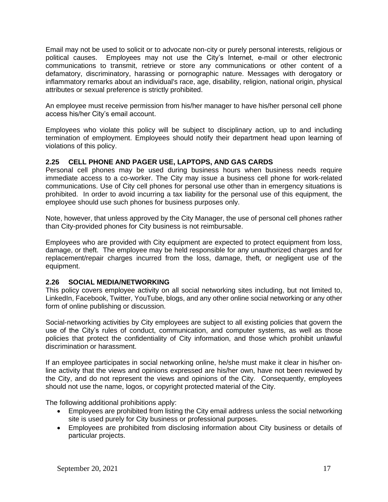Email may not be used to solicit or to advocate non-city or purely personal interests, religious or political causes. Employees may not use the City's Internet, e-mail or other electronic communications to transmit, retrieve or store any communications or other content of a defamatory, discriminatory, harassing or pornographic nature. Messages with derogatory or inflammatory remarks about an individual's race, age, disability, religion, national origin, physical attributes or sexual preference is strictly prohibited.

An employee must receive permission from his/her manager to have his/her personal cell phone access his/her City's email account.

Employees who violate this policy will be subject to disciplinary action, up to and including termination of employment. Employees should notify their department head upon learning of violations of this policy.

## **2.25 CELL PHONE AND PAGER USE, LAPTOPS, AND GAS CARDS**

Personal cell phones may be used during business hours when business needs require immediate access to a co-worker. The City may issue a business cell phone for work-related communications. Use of City cell phones for personal use other than in emergency situations is prohibited. In order to avoid incurring a tax liability for the personal use of this equipment, the employee should use such phones for business purposes only.

Note, however, that unless approved by the City Manager, the use of personal cell phones rather than City-provided phones for City business is not reimbursable.

Employees who are provided with City equipment are expected to protect equipment from loss, damage, or theft. The employee may be held responsible for any unauthorized charges and for replacement/repair charges incurred from the loss, damage, theft, or negligent use of the equipment.

#### **2.26 SOCIAL MEDIA/NETWORKING**

This policy covers employee activity on all social networking sites including, but not limited to, LinkedIn, Facebook, Twitter, YouTube, blogs, and any other online social networking or any other form of online publishing or discussion.

Social-networking activities by City employees are subject to all existing policies that govern the use of the City's rules of conduct, communication, and computer systems, as well as those policies that protect the confidentiality of City information, and those which prohibit unlawful discrimination or harassment.

If an employee participates in social networking online, he/she must make it clear in his/her online activity that the views and opinions expressed are his/her own, have not been reviewed by the City, and do not represent the views and opinions of the City. Consequently, employees should not use the name, logos, or copyright protected material of the City.

The following additional prohibitions apply:

- Employees are prohibited from listing the City email address unless the social networking site is used purely for City business or professional purposes.
- Employees are prohibited from disclosing information about City business or details of particular projects.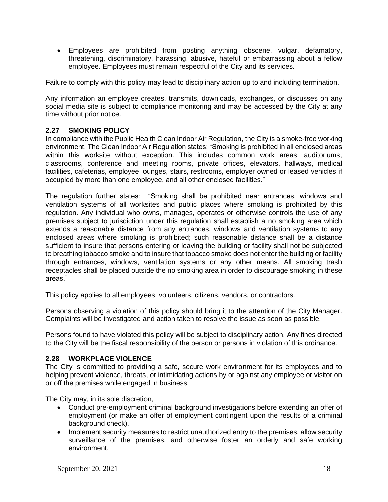• Employees are prohibited from posting anything obscene, vulgar, defamatory, threatening, discriminatory, harassing, abusive, hateful or embarrassing about a fellow employee. Employees must remain respectful of the City and its services.

Failure to comply with this policy may lead to disciplinary action up to and including termination.

Any information an employee creates, transmits, downloads, exchanges, or discusses on any social media site is subject to compliance monitoring and may be accessed by the City at any time without prior notice.

## **2.27 SMOKING POLICY**

In compliance with the Public Health Clean Indoor Air Regulation, the City is a smoke-free working environment. The Clean Indoor Air Regulation states: "Smoking is prohibited in all enclosed areas within this worksite without exception. This includes common work areas, auditoriums, classrooms, conference and meeting rooms, private offices, elevators, hallways, medical facilities, cafeterias, employee lounges, stairs, restrooms, employer owned or leased vehicles if occupied by more than one employee, and all other enclosed facilities."

The regulation further states: "Smoking shall be prohibited near entrances, windows and ventilation systems of all worksites and public places where smoking is prohibited by this regulation. Any individual who owns, manages, operates or otherwise controls the use of any premises subject to jurisdiction under this regulation shall establish a no smoking area which extends a reasonable distance from any entrances, windows and ventilation systems to any enclosed areas where smoking is prohibited; such reasonable distance shall be a distance sufficient to insure that persons entering or leaving the building or facility shall not be subjected to breathing tobacco smoke and to insure that tobacco smoke does not enter the building or facility through entrances, windows, ventilation systems or any other means. All smoking trash receptacles shall be placed outside the no smoking area in order to discourage smoking in these areas."

This policy applies to all employees, volunteers, citizens, vendors, or contractors.

Persons observing a violation of this policy should bring it to the attention of the City Manager. Complaints will be investigated and action taken to resolve the issue as soon as possible.

Persons found to have violated this policy will be subject to disciplinary action. Any fines directed to the City will be the fiscal responsibility of the person or persons in violation of this ordinance.

#### **2.28 WORKPLACE VIOLENCE**

The City is committed to providing a safe, secure work environment for its employees and to helping prevent violence, threats, or intimidating actions by or against any employee or visitor on or off the premises while engaged in business.

The City may, in its sole discretion,

- Conduct pre-employment criminal background investigations before extending an offer of employment (or make an offer of employment contingent upon the results of a criminal background check).
- Implement security measures to restrict unauthorized entry to the premises, allow security surveillance of the premises, and otherwise foster an orderly and safe working environment.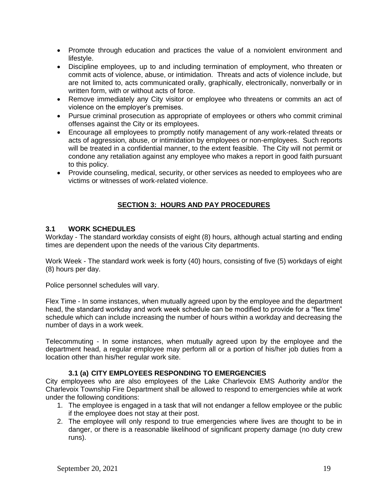- Promote through education and practices the value of a nonviolent environment and lifestyle.
- Discipline employees, up to and including termination of employment, who threaten or commit acts of violence, abuse, or intimidation. Threats and acts of violence include, but are not limited to, acts communicated orally, graphically, electronically, nonverbally or in written form, with or without acts of force.
- Remove immediately any City visitor or employee who threatens or commits an act of violence on the employer's premises.
- Pursue criminal prosecution as appropriate of employees or others who commit criminal offenses against the City or its employees.
- Encourage all employees to promptly notify management of any work-related threats or acts of aggression, abuse, or intimidation by employees or non-employees. Such reports will be treated in a confidential manner, to the extent feasible. The City will not permit or condone any retaliation against any employee who makes a report in good faith pursuant to this policy.
- Provide counseling, medical, security, or other services as needed to employees who are victims or witnesses of work-related violence.

# **SECTION 3: HOURS AND PAY PROCEDURES**

## **3.1 WORK SCHEDULES**

Workday - The standard workday consists of eight (8) hours, although actual starting and ending times are dependent upon the needs of the various City departments.

Work Week - The standard work week is forty (40) hours, consisting of five (5) workdays of eight (8) hours per day.

Police personnel schedules will vary.

Flex Time - In some instances, when mutually agreed upon by the employee and the department head, the standard workday and work week schedule can be modified to provide for a "flex time" schedule which can include increasing the number of hours within a workday and decreasing the number of days in a work week.

Telecommuting - In some instances, when mutually agreed upon by the employee and the department head, a regular employee may perform all or a portion of his/her job duties from a location other than his/her regular work site.

#### **3.1 (a) CITY EMPLOYEES RESPONDING TO EMERGENCIES**

City employees who are also employees of the Lake Charlevoix EMS Authority and/or the Charlevoix Township Fire Department shall be allowed to respond to emergencies while at work under the following conditions:

- 1. The employee is engaged in a task that will not endanger a fellow employee or the public if the employee does not stay at their post.
- 2. The employee will only respond to true emergencies where lives are thought to be in danger, or there is a reasonable likelihood of significant property damage (no duty crew runs).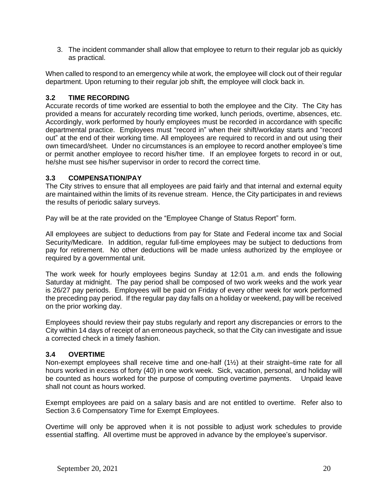3. The incident commander shall allow that employee to return to their regular job as quickly as practical.

When called to respond to an emergency while at work, the employee will clock out of their regular department. Upon returning to their regular job shift, the employee will clock back in.

## **3.2 TIME RECORDING**

Accurate records of time worked are essential to both the employee and the City. The City has provided a means for accurately recording time worked, lunch periods, overtime, absences, etc. Accordingly, work performed by hourly employees must be recorded in accordance with specific departmental practice. Employees must "record in" when their shift/workday starts and "record out" at the end of their working time. All employees are required to record in and out using their own timecard/sheet. Under no circumstances is an employee to record another employee's time or permit another employee to record his/her time. If an employee forgets to record in or out, he/she must see his/her supervisor in order to record the correct time.

## **3.3 COMPENSATION/PAY**

The City strives to ensure that all employees are paid fairly and that internal and external equity are maintained within the limits of its revenue stream. Hence, the City participates in and reviews the results of periodic salary surveys.

Pay will be at the rate provided on the "Employee Change of Status Report" form.

All employees are subject to deductions from pay for State and Federal income tax and Social Security/Medicare. In addition, regular full-time employees may be subject to deductions from pay for retirement. No other deductions will be made unless authorized by the employee or required by a governmental unit.

The work week for hourly employees begins Sunday at 12:01 a.m. and ends the following Saturday at midnight. The pay period shall be composed of two work weeks and the work year is 26/27 pay periods. Employees will be paid on Friday of every other week for work performed the preceding pay period. If the regular pay day falls on a holiday or weekend, pay will be received on the prior working day.

Employees should review their pay stubs regularly and report any discrepancies or errors to the City within 14 days of receipt of an erroneous paycheck, so that the City can investigate and issue a corrected check in a timely fashion.

#### **3.4 OVERTIME**

Non-exempt employees shall receive time and one-half (1½) at their straight–time rate for all hours worked in excess of forty (40) in one work week. Sick, vacation, personal, and holiday will be counted as hours worked for the purpose of computing overtime payments. Unpaid leave shall not count as hours worked.

Exempt employees are paid on a salary basis and are not entitled to overtime. Refer also to Section 3.6 Compensatory Time for Exempt Employees.

Overtime will only be approved when it is not possible to adjust work schedules to provide essential staffing. All overtime must be approved in advance by the employee's supervisor.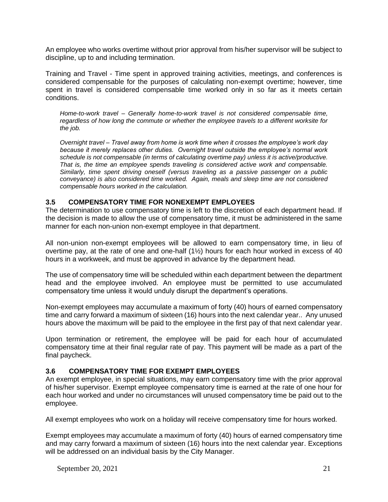An employee who works overtime without prior approval from his/her supervisor will be subject to discipline, up to and including termination.

Training and Travel - Time spent in approved training activities, meetings, and conferences is considered compensable for the purposes of calculating non-exempt overtime; however, time spent in travel is considered compensable time worked only in so far as it meets certain conditions.

*Home-to-work travel – Generally home-to-work travel is not considered compensable time, regardless of how long the commute or whether the employee travels to a different worksite for the job.* 

*Overnight travel – Travel away from home is work time when it crosses the employee's work day because it merely replaces other duties. Overnight travel outside the employee's normal work schedule is not compensable (in terms of calculating overtime pay) unless it is active/productive. That is, the time an employee spends traveling is considered active work and compensable. Similarly, time spent driving oneself (versus traveling as a passive passenger on a public conveyance) is also considered time worked. Again, meals and sleep time are not considered compensable hours worked in the calculation.*

#### **3.5 COMPENSATORY TIME FOR NONEXEMPT EMPLOYEES**

The determination to use compensatory time is left to the discretion of each department head. If the decision is made to allow the use of compensatory time, it must be administered in the same manner for each non-union non-exempt employee in that department.

All non-union non-exempt employees will be allowed to earn compensatory time, in lieu of overtime pay, at the rate of one and one-half (1½) hours for each hour worked in excess of 40 hours in a workweek, and must be approved in advance by the department head.

The use of compensatory time will be scheduled within each department between the department head and the employee involved. An employee must be permitted to use accumulated compensatory time unless it would unduly disrupt the department's operations.

Non-exempt employees may accumulate a maximum of forty (40) hours of earned compensatory time and carry forward a maximum of sixteen (16) hours into the next calendar year.. Any unused hours above the maximum will be paid to the employee in the first pay of that next calendar year.

Upon termination or retirement, the employee will be paid for each hour of accumulated compensatory time at their final regular rate of pay. This payment will be made as a part of the final paycheck.

#### **3.6 COMPENSATORY TIME FOR EXEMPT EMPLOYEES**

An exempt employee, in special situations, may earn compensatory time with the prior approval of his/her supervisor. Exempt employee compensatory time is earned at the rate of one hour for each hour worked and under no circumstances will unused compensatory time be paid out to the employee.

All exempt employees who work on a holiday will receive compensatory time for hours worked.

Exempt employees may accumulate a maximum of forty (40) hours of earned compensatory time and may carry forward a maximum of sixteen (16) hours into the next calendar year. Exceptions will be addressed on an individual basis by the City Manager.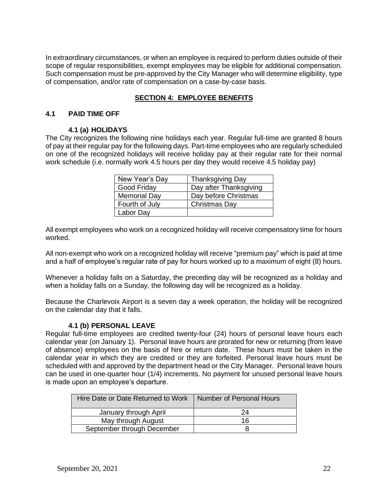In extraordinary circumstances, or when an employee is required to perform duties outside of their scope of regular responsibilities, exempt employees may be eligible for additional compensation. Such compensation must be pre-approved by the City Manager who will determine eligibility, type of compensation, and/or rate of compensation on a case-by-case basis.

## **SECTION 4: EMPLOYEE BENEFITS**

#### **4.1 PAID TIME OFF**

#### **4.1 (a) HOLIDAYS**

The City recognizes the following nine holidays each year. Regular full-time are granted 8 hours of pay at their regular pay for the following days. Part-time employees who are regularly scheduled on one of the recognized holidays will receive holiday pay at their regular rate for their normal work schedule (i.e. normally work 4.5 hours per day they would receive 4.5 holiday pay)

| New Year's Day      | <b>Thanksgiving Day</b> |
|---------------------|-------------------------|
| Good Friday         | Day after Thanksgiving  |
| <b>Memorial Day</b> | Day before Christmas    |
| Fourth of July      | Christmas Day           |
| Labor Day           |                         |

All exempt employees who work on a recognized holiday will receive compensatory time for hours worked.

All non-exempt who work on a recognized holiday will receive "premium pay" which is paid at time and a half of employee's regular rate of pay for hours worked up to a maximum of eight (8) hours.

Whenever a holiday falls on a Saturday, the preceding day will be recognized as a holiday and when a holiday falls on a Sunday, the following day will be recognized as a holiday.

Because the Charlevoix Airport is a seven day a week operation, the holiday will be recognized on the calendar day that it falls.

#### **4.1 (b) PERSONAL LEAVE**

Regular full-time employees are credited twenty-four (24) hours of personal leave hours each calendar year (on January 1). Personal leave hours are prorated for new or returning (from leave of absence) employees on the basis of hire or return date. These hours must be taken in the calendar year in which they are credited or they are forfeited. Personal leave hours must be scheduled with and approved by the department head or the City Manager. Personal leave hours can be used in one-quarter hour (1/4) increments. No payment for unused personal leave hours is made upon an employee's departure.

| Hire Date or Date Returned to Work | Number of Personal Hours |
|------------------------------------|--------------------------|
| January through April              | 24                       |
| May through August                 | 16                       |
| September through December         |                          |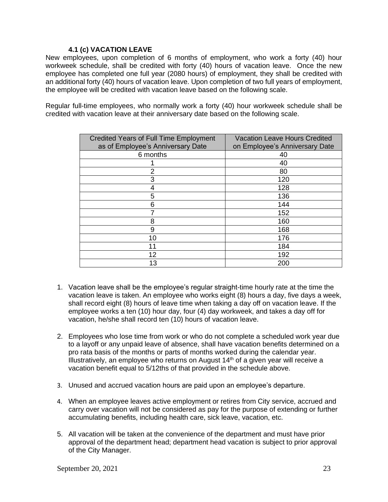#### **4.1 (c) VACATION LEAVE**

New employees, upon completion of 6 months of employment, who work a forty (40) hour workweek schedule, shall be credited with forty (40) hours of vacation leave. Once the new employee has completed one full year (2080 hours) of employment, they shall be credited with an additional forty (40) hours of vacation leave. Upon completion of two full years of employment, the employee will be credited with vacation leave based on the following scale.

Regular full-time employees, who normally work a forty (40) hour workweek schedule shall be credited with vacation leave at their anniversary date based on the following scale.

| <b>Credited Years of Full Time Employment</b> | <b>Vacation Leave Hours Credited</b> |
|-----------------------------------------------|--------------------------------------|
| as of Employee's Anniversary Date             | on Employee's Anniversary Date       |
| 6 months                                      | 40                                   |
|                                               | 40                                   |
| 2                                             | 80                                   |
| 3                                             | 120                                  |
| 4                                             | 128                                  |
| 5                                             | 136                                  |
| 6                                             | 144                                  |
| 7                                             | 152                                  |
| 8                                             | 160                                  |
| 9                                             | 168                                  |
| 10                                            | 176                                  |
| 11                                            | 184                                  |
| 12                                            | 192                                  |
| 13                                            | 200                                  |

- 1. Vacation leave shall be the employee's regular straight-time hourly rate at the time the vacation leave is taken. An employee who works eight (8) hours a day, five days a week, shall record eight (8) hours of leave time when taking a day off on vacation leave. If the employee works a ten (10) hour day, four (4) day workweek, and takes a day off for vacation, he/she shall record ten (10) hours of vacation leave.
- 2. Employees who lose time from work or who do not complete a scheduled work year due to a layoff or any unpaid leave of absence, shall have vacation benefits determined on a pro rata basis of the months or parts of months worked during the calendar year. Illustratively, an employee who returns on August  $14<sup>th</sup>$  of a given year will receive a vacation benefit equal to 5/12ths of that provided in the schedule above.
- 3. Unused and accrued vacation hours are paid upon an employee's departure.
- 4. When an employee leaves active employment or retires from City service, accrued and carry over vacation will not be considered as pay for the purpose of extending or further accumulating benefits, including health care, sick leave, vacation, etc.
- 5. All vacation will be taken at the convenience of the department and must have prior approval of the department head; department head vacation is subject to prior approval of the City Manager.

September 20, 2021 23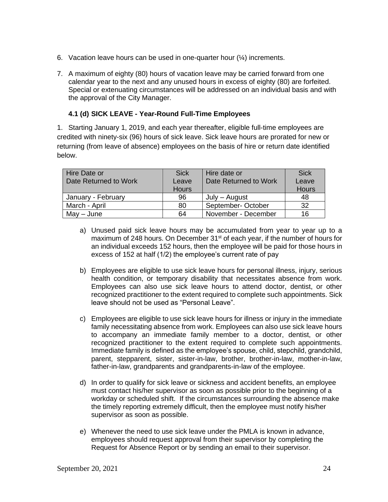- 6. Vacation leave hours can be used in one-quarter hour  $(\frac{1}{4})$  increments.
- 7. A maximum of eighty (80) hours of vacation leave may be carried forward from one calendar year to the next and any unused hours in excess of eighty (80) are forfeited. Special or extenuating circumstances will be addressed on an individual basis and with the approval of the City Manager.

## **4.1 (d) SICK LEAVE - Year-Round Full-Time Employees**

1. Starting January 1, 2019, and each year thereafter, eligible full-time employees are credited with ninety-six (96) hours of sick leave. Sick leave hours are prorated for new or returning (from leave of absence) employees on the basis of hire or return date identified below.

| Hire Date or          | <b>Sick</b>  | Hire date or          | <b>Sick</b>  |
|-----------------------|--------------|-----------------------|--------------|
| Date Returned to Work | Leave        | Date Returned to Work | Leave        |
|                       | <b>Hours</b> |                       | <b>Hours</b> |
| January - February    | 96           | July – August         | 48           |
| March - April         | 80           | September-October     | -32          |
| May - June            | 64           | November - December   | 16           |

- a) Unused paid sick leave hours may be accumulated from year to year up to a maximum of 248 hours. On December 31<sup>st</sup> of each year, if the number of hours for an individual exceeds 152 hours, then the employee will be paid for those hours in excess of 152 at half (1/2) the employee's current rate of pay
- b) Employees are eligible to use sick leave hours for personal illness, injury, serious health condition, or temporary disability that necessitates absence from work. Employees can also use sick leave hours to attend doctor, dentist, or other recognized practitioner to the extent required to complete such appointments. Sick leave should not be used as "Personal Leave".
- c) Employees are eligible to use sick leave hours for illness or injury in the immediate family necessitating absence from work. Employees can also use sick leave hours to accompany an immediate family member to a doctor, dentist, or other recognized practitioner to the extent required to complete such appointments. Immediate family is defined as the employee's spouse, child, stepchild, grandchild, parent, stepparent, sister, sister-in-law, brother, brother-in-law, mother-in-law, father-in-law, grandparents and grandparents-in-law of the employee.
- d) In order to qualify for sick leave or sickness and accident benefits, an employee must contact his/her supervisor as soon as possible prior to the beginning of a workday or scheduled shift. If the circumstances surrounding the absence make the timely reporting extremely difficult, then the employee must notify his/her supervisor as soon as possible.
- e) Whenever the need to use sick leave under the PMLA is known in advance, employees should request approval from their supervisor by completing the Request for Absence Report or by sending an email to their supervisor.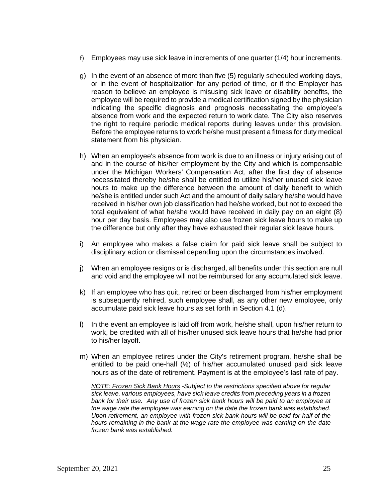- f) Employees may use sick leave in increments of one quarter (1/4) hour increments.
- g) In the event of an absence of more than five (5) regularly scheduled working days, or in the event of hospitalization for any period of time, or if the Employer has reason to believe an employee is misusing sick leave or disability benefits, the employee will be required to provide a medical certification signed by the physician indicating the specific diagnosis and prognosis necessitating the employee's absence from work and the expected return to work date. The City also reserves the right to require periodic medical reports during leaves under this provision. Before the employee returns to work he/she must present a fitness for duty medical statement from his physician.
- h) When an employee's absence from work is due to an illness or injury arising out of and in the course of his/her employment by the City and which is compensable under the Michigan Workers' Compensation Act, after the first day of absence necessitated thereby he/she shall be entitled to utilize his/her unused sick leave hours to make up the difference between the amount of daily benefit to which he/she is entitled under such Act and the amount of daily salary he/she would have received in his/her own job classification had he/she worked, but not to exceed the total equivalent of what he/she would have received in daily pay on an eight (8) hour per day basis. Employees may also use frozen sick leave hours to make up the difference but only after they have exhausted their regular sick leave hours.
- i) An employee who makes a false claim for paid sick leave shall be subject to disciplinary action or dismissal depending upon the circumstances involved.
- j) When an employee resigns or is discharged, all benefits under this section are null and void and the employee will not be reimbursed for any accumulated sick leave.
- k) If an employee who has quit, retired or been discharged from his/her employment is subsequently rehired, such employee shall, as any other new employee, only accumulate paid sick leave hours as set forth in Section 4.1 (d).
- l) In the event an employee is laid off from work, he/she shall, upon his/her return to work, be credited with all of his/her unused sick leave hours that he/she had prior to his/her layoff.
- m) When an employee retires under the City's retirement program, he/she shall be entitled to be paid one-half (½) of his/her accumulated unused paid sick leave hours as of the date of retirement. Payment is at the employee's last rate of pay.

*NOTE: Frozen Sick Bank Hours -Subject to the restrictions specified above for regular sick leave, various employees, have sick leave credits from preceding years in a frozen bank for their use. Any use of frozen sick bank hours will be paid to an employee at the wage rate the employee was earning on the date the frozen bank was established. Upon retirement, an employee with frozen sick bank hours will be paid for half of the hours remaining in the bank at the wage rate the employee was earning on the date frozen bank was established.*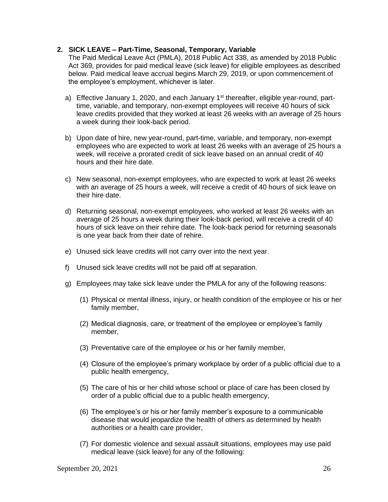#### **2. SICK LEAVE – Part-Time, Seasonal, Temporary, Variable**

The Paid Medical Leave Act (PMLA), 2018 Public Act 338, as amended by 2018 Public Act 369, provides for paid medical leave (sick leave) for eligible employees as described below. Paid medical leave accrual begins March 29, 2019, or upon commencement of the employee's employment, whichever is later.

- a) Effective January 1, 2020, and each January  $1<sup>st</sup>$  thereafter, eligible year-round, parttime, variable, and temporary, non-exempt employees will receive 40 hours of sick leave credits provided that they worked at least 26 weeks with an average of 25 hours a week during their look-back period.
- b) Upon date of hire, new year-round, part-time, variable, and temporary, non-exempt employees who are expected to work at least 26 weeks with an average of 25 hours a week, will receive a prorated credit of sick leave based on an annual credit of 40 hours and their hire date.
- c) New seasonal, non-exempt employees, who are expected to work at least 26 weeks with an average of 25 hours a week, will receive a credit of 40 hours of sick leave on their hire date.
- d) Returning seasonal, non-exempt employees, who worked at least 26 weeks with an average of 25 hours a week during their look-back period, will receive a credit of 40 hours of sick leave on their rehire date. The look-back period for returning seasonals is one year back from their date of rehire.
- e) Unused sick leave credits will not carry over into the next year.
- f) Unused sick leave credits will not be paid off at separation.
- g) Employees may take sick leave under the PMLA for any of the following reasons:
	- (1) Physical or mental illness, injury, or health condition of the employee or his or her family member,
	- (2) Medical diagnosis, care, or treatment of the employee or employee's family member,
	- (3) Preventative care of the employee or his or her family member,
	- (4) Closure of the employee's primary workplace by order of a public official due to a public health emergency,
	- (5) The care of his or her child whose school or place of care has been closed by order of a public official due to a public health emergency,
	- (6) The employee's or his or her family member's exposure to a communicable disease that would jeopardize the health of others as determined by health authorities or a health care provider,
	- (7) For domestic violence and sexual assault situations, employees may use paid medical leave (sick leave) for any of the following: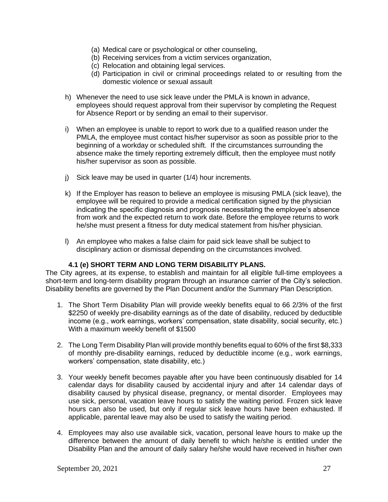- (a) Medical care or psychological or other counseling,
- (b) Receiving services from a victim services organization,
- (c) Relocation and obtaining legal services.
- (d) Participation in civil or criminal proceedings related to or resulting from the domestic violence or sexual assault
- h) Whenever the need to use sick leave under the PMLA is known in advance, employees should request approval from their supervisor by completing the Request for Absence Report or by sending an email to their supervisor.
- i) When an employee is unable to report to work due to a qualified reason under the PMLA, the employee must contact his/her supervisor as soon as possible prior to the beginning of a workday or scheduled shift. If the circumstances surrounding the absence make the timely reporting extremely difficult, then the employee must notify his/her supervisor as soon as possible.
- j) Sick leave may be used in quarter (1/4) hour increments.
- k) If the Employer has reason to believe an employee is misusing PMLA (sick leave), the employee will be required to provide a medical certification signed by the physician indicating the specific diagnosis and prognosis necessitating the employee's absence from work and the expected return to work date. Before the employee returns to work he/she must present a fitness for duty medical statement from his/her physician.
- l) An employee who makes a false claim for paid sick leave shall be subject to disciplinary action or dismissal depending on the circumstances involved.

#### **4.1 (e) SHORT TERM AND LONG TERM DISABILITY PLANS.**

The City agrees, at its expense, to establish and maintain for all eligible full-time employees a short-term and long-term disability program through an insurance carrier of the City's selection. Disability benefits are governed by the Plan Document and/or the Summary Plan Description.

- 1. The Short Term Disability Plan will provide weekly benefits equal to 66 2/3% of the first \$2250 of weekly pre-disability earnings as of the date of disability, reduced by deductible income (e.g., work earnings, workers' compensation, state disability, social security, etc.) With a maximum weekly benefit of \$1500
- 2. The Long Term Disability Plan will provide monthly benefits equal to 60% of the first \$8,333 of monthly pre-disability earnings, reduced by deductible income (e.g., work earnings, workers' compensation, state disability, etc.)
- 3. Your weekly benefit becomes payable after you have been continuously disabled for 14 calendar days for disability caused by accidental injury and after 14 calendar days of disability caused by physical disease, pregnancy, or mental disorder. Employees may use sick, personal, vacation leave hours to satisfy the waiting period. Frozen sick leave hours can also be used, but only if regular sick leave hours have been exhausted. If applicable, parental leave may also be used to satisfy the waiting period.
- 4. Employees may also use available sick, vacation, personal leave hours to make up the difference between the amount of daily benefit to which he/she is entitled under the Disability Plan and the amount of daily salary he/she would have received in his/her own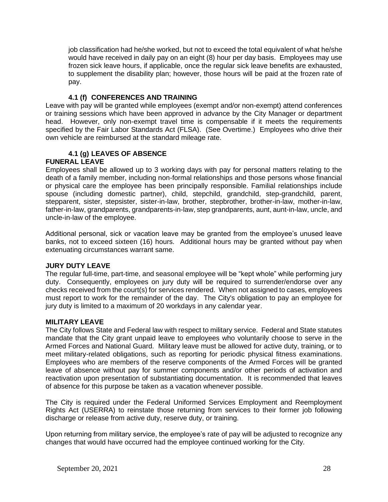job classification had he/she worked, but not to exceed the total equivalent of what he/she would have received in daily pay on an eight (8) hour per day basis. Employees may use frozen sick leave hours, if applicable, once the regular sick leave benefits are exhausted, to supplement the disability plan; however, those hours will be paid at the frozen rate of pay.

#### **4.1 (f) CONFERENCES AND TRAINING**

Leave with pay will be granted while employees (exempt and/or non-exempt) attend conferences or training sessions which have been approved in advance by the City Manager or department head. However, only non-exempt travel time is compensable if it meets the requirements specified by the Fair Labor Standards Act (FLSA). (See Overtime.) Employees who drive their own vehicle are reimbursed at the standard mileage rate.

# **4.1 (g) LEAVES OF ABSENCE**

## **FUNERAL LEAVE**

Employees shall be allowed up to 3 working days with pay for personal matters relating to the death of a family member, including non-formal relationships and those persons whose financial or physical care the employee has been principally responsible. Familial relationships include spouse (including domestic partner), child, stepchild, grandchild, step-grandchild, parent, stepparent, sister, stepsister, sister-in-law, brother, stepbrother, brother-in-law, mother-in-law, father-in-law, grandparents, grandparents-in-law, step grandparents, aunt, aunt-in-law, uncle, and uncle-in-law of the employee.

Additional personal, sick or vacation leave may be granted from the employee's unused leave banks, not to exceed sixteen (16) hours. Additional hours may be granted without pay when extenuating circumstances warrant same.

#### **JURY DUTY LEAVE**

The regular full-time, part-time, and seasonal employee will be "kept whole" while performing jury duty. Consequently, employees on jury duty will be required to surrender/endorse over any checks received from the court(s) for services rendered. When not assigned to cases, employees must report to work for the remainder of the day. The City's obligation to pay an employee for jury duty is limited to a maximum of 20 workdays in any calendar year.

#### **MILITARY LEAVE**

The City follows State and Federal law with respect to military service. Federal and State statutes mandate that the City grant unpaid leave to employees who voluntarily choose to serve in the Armed Forces and National Guard. Military leave must be allowed for active duty, training, or to meet military-related obligations, such as reporting for periodic physical fitness examinations. Employees who are members of the reserve components of the Armed Forces will be granted leave of absence without pay for summer components and/or other periods of activation and reactivation upon presentation of substantiating documentation. It is recommended that leaves of absence for this purpose be taken as a vacation whenever possible.

The City is required under the Federal Uniformed Services Employment and Reemployment Rights Act (USERRA) to reinstate those returning from services to their former job following discharge or release from active duty, reserve duty, or training.

Upon returning from military service, the employee's rate of pay will be adjusted to recognize any changes that would have occurred had the employee continued working for the City.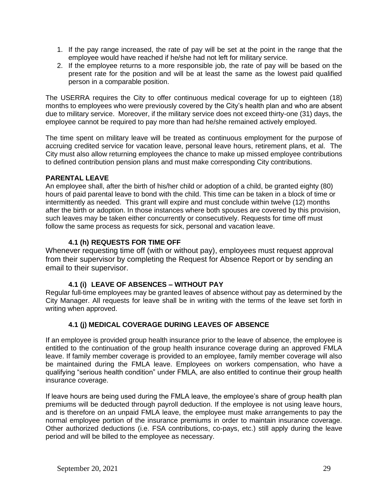- 1. If the pay range increased, the rate of pay will be set at the point in the range that the employee would have reached if he/she had not left for military service.
- 2. If the employee returns to a more responsible job, the rate of pay will be based on the present rate for the position and will be at least the same as the lowest paid qualified person in a comparable position.

The USERRA requires the City to offer continuous medical coverage for up to eighteen (18) months to employees who were previously covered by the City's health plan and who are absent due to military service. Moreover, if the military service does not exceed thirty-one (31) days, the employee cannot be required to pay more than had he/she remained actively employed.

The time spent on military leave will be treated as continuous employment for the purpose of accruing credited service for vacation leave, personal leave hours, retirement plans, et al. The City must also allow returning employees the chance to make up missed employee contributions to defined contribution pension plans and must make corresponding City contributions.

## **PARENTAL LEAVE**

An employee shall, after the birth of his/her child or adoption of a child, be granted eighty (80) hours of paid parental leave to bond with the child. This time can be taken in a block of time or intermittently as needed. This grant will expire and must conclude within twelve (12) months after the birth or adoption. In those instances where both spouses are covered by this provision, such leaves may be taken either concurrently or consecutively. Requests for time off must follow the same process as requests for sick, personal and vacation leave.

## **4.1 (h) REQUESTS FOR TIME OFF**

Whenever requesting time off (with or without pay), employees must request approval from their supervisor by completing the Request for Absence Report or by sending an email to their supervisor.

# **4.1 (i) LEAVE OF ABSENCES – WITHOUT PAY**

Regular full-time employees may be granted leaves of absence without pay as determined by the City Manager. All requests for leave shall be in writing with the terms of the leave set forth in writing when approved.

# **4.1 (j) MEDICAL COVERAGE DURING LEAVES OF ABSENCE**

If an employee is provided group health insurance prior to the leave of absence, the employee is entitled to the continuation of the group health insurance coverage during an approved FMLA leave. If family member coverage is provided to an employee, family member coverage will also be maintained during the FMLA leave. Employees on workers compensation, who have a qualifying "serious health condition" under FMLA, are also entitled to continue their group health insurance coverage.

If leave hours are being used during the FMLA leave, the employee's share of group health plan premiums will be deducted through payroll deduction. If the employee is not using leave hours, and is therefore on an unpaid FMLA leave, the employee must make arrangements to pay the normal employee portion of the insurance premiums in order to maintain insurance coverage. Other authorized deductions (i.e. FSA contributions, co-pays, etc.) still apply during the leave period and will be billed to the employee as necessary.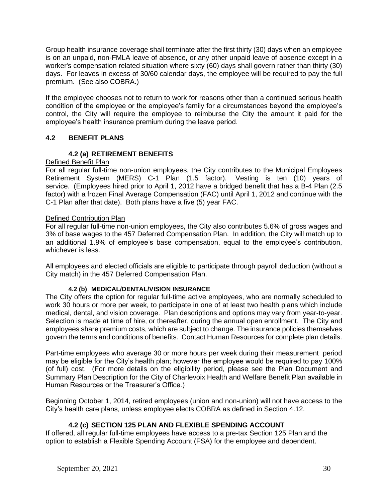Group health insurance coverage shall terminate after the first thirty (30) days when an employee is on an unpaid, non-FMLA leave of absence, or any other unpaid leave of absence except in a worker's compensation related situation where sixty (60) days shall govern rather than thirty (30) days. For leaves in excess of 30/60 calendar days, the employee will be required to pay the full premium. (See also COBRA.)

If the employee chooses not to return to work for reasons other than a continued serious health condition of the employee or the employee's family for a circumstances beyond the employee's control, the City will require the employee to reimburse the City the amount it paid for the employee's health insurance premium during the leave period.

## **4.2 BENEFIT PLANS**

#### **4.2 (a) RETIREMENT BENEFITS**

#### Defined Benefit Plan

For all regular full-time non-union employees, the City contributes to the Municipal Employees Retirement System (MERS) C-1 Plan (1.5 factor). Vesting is ten (10) years of service. (Employees hired prior to April 1, 2012 have a bridged benefit that has a B-4 Plan (2.5) factor) with a frozen Final Average Compensation (FAC) until April 1, 2012 and continue with the C-1 Plan after that date). Both plans have a five (5) year FAC.

#### Defined Contribution Plan

For all regular full-time non-union employees, the City also contributes 5.6% of gross wages and 3% of base wages to the 457 Deferred Compensation Plan. In addition, the City will match up to an additional 1.9% of employee's base compensation, equal to the employee's contribution, whichever is less.

All employees and elected officials are eligible to participate through payroll deduction (without a City match) in the 457 Deferred Compensation Plan.

#### **4.2 (b) MEDICAL/DENTAL/VISION INSURANCE**

The City offers the option for regular full-time active employees, who are normally scheduled to work 30 hours or more per week, to participate in one of at least two health plans which include medical, dental, and vision coverage. Plan descriptions and options may vary from year-to-year. Selection is made at time of hire, or thereafter, during the annual open enrollment. The City and employees share premium costs, which are subject to change. The insurance policies themselves govern the terms and conditions of benefits. Contact Human Resources for complete plan details.

Part-time employees who average 30 or more hours per week during their measurement period may be eligible for the City's health plan; however the employee would be required to pay 100% (of full) cost. (For more details on the eligibility period, please see the Plan Document and Summary Plan Description for the City of Charlevoix Health and Welfare Benefit Plan available in Human Resources or the Treasurer's Office.)

Beginning October 1, 2014, retired employees (union and non-union) will not have access to the City's health care plans, unless employee elects COBRA as defined in Section 4.12.

#### **4.2 (c) SECTION 125 PLAN AND FLEXIBLE SPENDING ACCOUNT**

If offered, all regular full-time employees have access to a pre-tax Section 125 Plan and the option to establish a Flexible Spending Account (FSA) for the employee and dependent.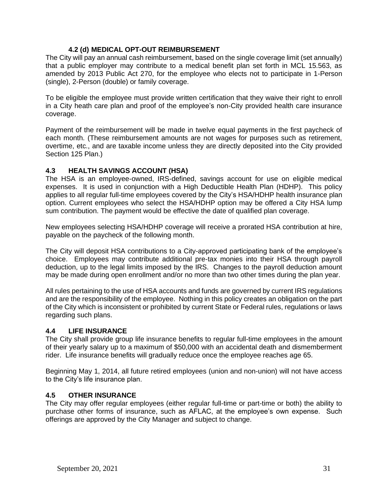## **4.2 (d) MEDICAL OPT-OUT REIMBURSEMENT**

The City will pay an annual cash reimbursement, based on the single coverage limit (set annually) that a public employer may contribute to a medical benefit plan set forth in MCL 15.563, as amended by 2013 Public Act 270, for the employee who elects not to participate in 1-Person (single), 2-Person (double) or family coverage.

To be eligible the employee must provide written certification that they waive their right to enroll in a City heath care plan and proof of the employee's non-City provided health care insurance coverage.

Payment of the reimbursement will be made in twelve equal payments in the first paycheck of each month. (These reimbursement amounts are not wages for purposes such as retirement, overtime, etc., and are taxable income unless they are directly deposited into the City provided Section 125 Plan.)

## **4.3 HEALTH SAVINGS ACCOUNT (HSA)**

The HSA is an employee-owned, IRS-defined, savings account for use on eligible medical expenses. It is used in conjunction with a High Deductible Health Plan (HDHP). This policy applies to all regular full-time employees covered by the City's HSA/HDHP health insurance plan option. Current employees who select the HSA/HDHP option may be offered a City HSA lump sum contribution. The payment would be effective the date of qualified plan coverage.

New employees selecting HSA/HDHP coverage will receive a prorated HSA contribution at hire, payable on the paycheck of the following month.

The City will deposit HSA contributions to a City-approved participating bank of the employee's choice. Employees may contribute additional pre-tax monies into their HSA through payroll deduction, up to the legal limits imposed by the IRS. Changes to the payroll deduction amount may be made during open enrollment and/or no more than two other times during the plan year.

All rules pertaining to the use of HSA accounts and funds are governed by current IRS regulations and are the responsibility of the employee. Nothing in this policy creates an obligation on the part of the City which is inconsistent or prohibited by current State or Federal rules, regulations or laws regarding such plans.

#### **4.4 LIFE INSURANCE**

The City shall provide group life insurance benefits to regular full-time employees in the amount of their yearly salary up to a maximum of \$50,000 with an accidental death and dismemberment rider. Life insurance benefits will gradually reduce once the employee reaches age 65.

Beginning May 1, 2014, all future retired employees (union and non-union) will not have access to the City's life insurance plan.

#### **4.5 OTHER INSURANCE**

The City may offer regular employees (either regular full-time or part-time or both) the ability to purchase other forms of insurance, such as AFLAC, at the employee's own expense. Such offerings are approved by the City Manager and subject to change.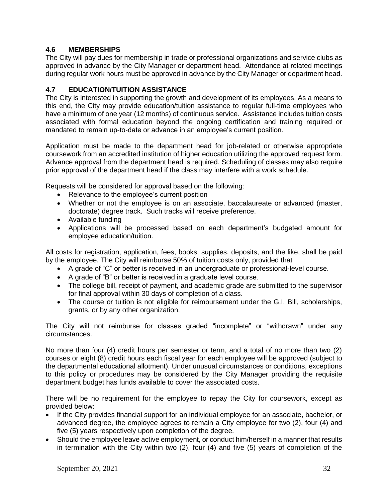## **4.6 MEMBERSHIPS**

The City will pay dues for membership in trade or professional organizations and service clubs as approved in advance by the City Manager or department head. Attendance at related meetings during regular work hours must be approved in advance by the City Manager or department head.

#### **4.7 EDUCATION/TUITION ASSISTANCE**

The City is interested in supporting the growth and development of its employees. As a means to this end, the City may provide education/tuition assistance to regular full-time employees who have a minimum of one year (12 months) of continuous service. Assistance includes tuition costs associated with formal education beyond the ongoing certification and training required or mandated to remain up-to-date or advance in an employee's current position.

Application must be made to the department head for job-related or otherwise appropriate coursework from an accredited institution of higher education utilizing the approved request form. Advance approval from the department head is required. Scheduling of classes may also require prior approval of the department head if the class may interfere with a work schedule.

Requests will be considered for approval based on the following:

- Relevance to the employee's current position
- Whether or not the employee is on an associate, baccalaureate or advanced (master, doctorate) degree track. Such tracks will receive preference.
- Available funding
- Applications will be processed based on each department's budgeted amount for employee education/tuition.

All costs for registration, application, fees, books, supplies, deposits, and the like, shall be paid by the employee. The City will reimburse 50% of tuition costs only, provided that

- A grade of "C" or better is received in an undergraduate or professional-level course.
- A grade of "B" or better is received in a graduate level course.
- The college bill, receipt of payment, and academic grade are submitted to the supervisor for final approval within 30 days of completion of a class.
- The course or tuition is not eligible for reimbursement under the G.I. Bill, scholarships, grants, or by any other organization.

The City will not reimburse for classes graded "incomplete" or "withdrawn" under any circumstances.

No more than four (4) credit hours per semester or term, and a total of no more than two (2) courses or eight (8) credit hours each fiscal year for each employee will be approved (subject to the departmental educational allotment). Under unusual circumstances or conditions, exceptions to this policy or procedures may be considered by the City Manager providing the requisite department budget has funds available to cover the associated costs.

There will be no requirement for the employee to repay the City for coursework, except as provided below:

- If the City provides financial support for an individual employee for an associate, bachelor, or advanced degree, the employee agrees to remain a City employee for two (2), four (4) and five (5) years respectively upon completion of the degree.
- Should the employee leave active employment, or conduct him/herself in a manner that results in termination with the City within two (2), four (4) and five (5) years of completion of the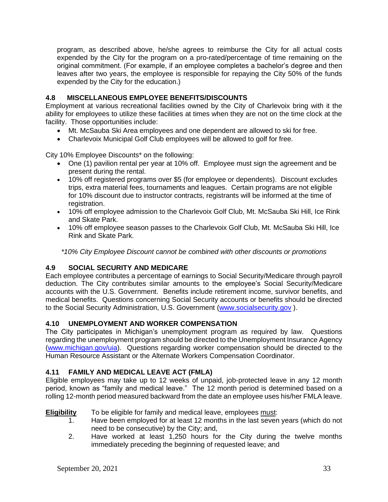program, as described above, he/she agrees to reimburse the City for all actual costs expended by the City for the program on a pro-rated/percentage of time remaining on the original commitment. (For example, if an employee completes a bachelor's degree and then leaves after two years, the employee is responsible for repaying the City 50% of the funds expended by the City for the education.)

# **4.8 MISCELLANEOUS EMPLOYEE BENEFITS/DISCOUNTS**

Employment at various recreational facilities owned by the City of Charlevoix bring with it the ability for employees to utilize these facilities at times when they are not on the time clock at the facility. Those opportunities include:

- Mt. McSauba Ski Area employees and one dependent are allowed to ski for free.
- Charlevoix Municipal Golf Club employees will be allowed to golf for free.

City 10% Employee Discounts\* on the following:

- One (1) pavilion rental per year at 10% off. Employee must sign the agreement and be present during the rental.
- 10% off registered programs over \$5 (for employee or dependents). Discount excludes trips, extra material fees, tournaments and leagues. Certain programs are not eligible for 10% discount due to instructor contracts, registrants will be informed at the time of registration.
- 10% off employee admission to the Charlevoix Golf Club, Mt. McSauba Ski Hill, Ice Rink and Skate Park.
- 10% off employee season passes to the Charlevoix Golf Club, Mt. McSauba Ski Hill, Ice Rink and Skate Park.

*\*10% City Employee Discount cannot be combined with other discounts or promotions*

# **4.9 SOCIAL SECURITY AND MEDICARE**

Each employee contributes a percentage of earnings to Social Security/Medicare through payroll deduction. The City contributes similar amounts to the employee's Social Security/Medicare accounts with the U.S. Government. Benefits include retirement income, survivor benefits, and medical benefits. Questions concerning Social Security accounts or benefits should be directed to the Social Security Administration, U.S. Government [\(www.socialsecurity.gov](http://www.socialsecurity.gov/) ).

#### **4.10 UNEMPLOYMENT AND WORKER COMPENSATION**

The City participates in Michigan's unemployment program as required by law. Questions regarding the unemployment program should be directed to the Unemployment Insurance Agency [\(www.michigan.gov/uia\)](http://www.michigan.gov/uia). Questions regarding worker compensation should be directed to the Human Resource Assistant or the Alternate Workers Compensation Coordinator.

#### **4.11 FAMILY AND MEDICAL LEAVE ACT (FMLA)**

Eligible employees may take up to 12 weeks of unpaid, job-protected leave in any 12 month period, known as "family and medical leave." The 12 month period is determined based on a rolling 12-month period measured backward from the date an employee uses his/her FMLA leave.

#### **Eligibility** To be eligible for family and medical leave, employees must:

- 1. Have been employed for at least 12 months in the last seven years (which do not need to be consecutive) by the City; and,
- 2. Have worked at least 1,250 hours for the City during the twelve months immediately preceding the beginning of requested leave; and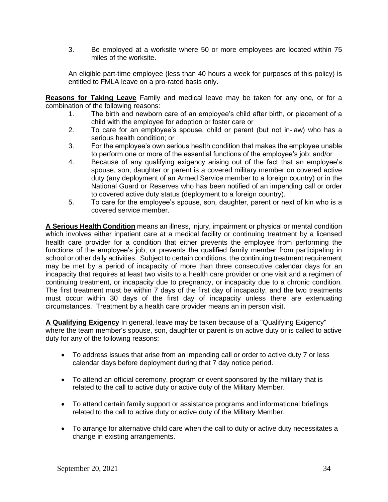3. Be employed at a worksite where 50 or more employees are located within 75 miles of the worksite.

An eligible part-time employee (less than 40 hours a week for purposes of this policy) is entitled to FMLA leave on a pro-rated basis only.

**Reasons for Taking Leave** Family and medical leave may be taken for any one, or for a combination of the following reasons:

- 1. The birth and newborn care of an employee's child after birth, or placement of a child with the employee for adoption or foster care or
- 2. To care for an employee's spouse, child or parent (but not in-law) who has a serious health condition; or
- 3. For the employee's own serious health condition that makes the employee unable to perform one or more of the essential functions of the employee's job; and/or
- 4. Because of any qualifying exigency arising out of the fact that an employee's spouse, son, daughter or parent is a covered military member on covered active duty (any deployment of an Armed Service member to a foreign country) or in the National Guard or Reserves who has been notified of an impending call or order to covered active duty status (deployment to a foreign country).
- 5. To care for the employee's spouse, son, daughter, parent or next of kin who is a covered service member.

**A Serious Health Condition** means an illness, injury, impairment or physical or mental condition which involves either inpatient care at a medical facility or continuing treatment by a licensed health care provider for a condition that either prevents the employee from performing the functions of the employee's job, or prevents the qualified family member from participating in school or other daily activities. Subject to certain conditions, the continuing treatment requirement may be met by a period of incapacity of more than three consecutive calendar days for an incapacity that requires at least two visits to a health care provider or one visit and a regimen of continuing treatment, or incapacity due to pregnancy, or incapacity due to a chronic condition. The first treatment must be within 7 days of the first day of incapacity, and the two treatments must occur within 30 days of the first day of incapacity unless there are extenuating circumstances. Treatment by a health care provider means an in person visit.

**A Qualifying Exigency** In general, leave may be taken because of a "Qualifying Exigency" where the team member's spouse, son, daughter or parent is on active duty or is called to active duty for any of the following reasons:

- To address issues that arise from an impending call or order to active duty 7 or less calendar days before deployment during that 7 day notice period.
- To attend an official ceremony, program or event sponsored by the military that is related to the call to active duty or active duty of the Military Member.
- To attend certain family support or assistance programs and informational briefings related to the call to active duty or active duty of the Military Member.
- To arrange for alternative child care when the call to duty or active duty necessitates a change in existing arrangements.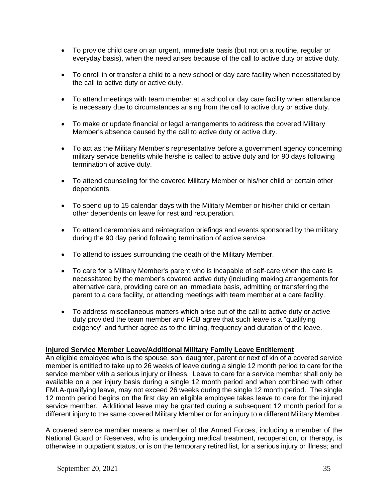- To provide child care on an urgent, immediate basis (but not on a routine, regular or everyday basis), when the need arises because of the call to active duty or active duty.
- To enroll in or transfer a child to a new school or day care facility when necessitated by the call to active duty or active duty.
- To attend meetings with team member at a school or day care facility when attendance is necessary due to circumstances arising from the call to active duty or active duty.
- To make or update financial or legal arrangements to address the covered Military Member's absence caused by the call to active duty or active duty.
- To act as the Military Member's representative before a government agency concerning military service benefits while he/she is called to active duty and for 90 days following termination of active duty.
- To attend counseling for the covered Military Member or his/her child or certain other dependents.
- To spend up to 15 calendar days with the Military Member or his/her child or certain other dependents on leave for rest and recuperation.
- To attend ceremonies and reintegration briefings and events sponsored by the military during the 90 day period following termination of active service.
- To attend to issues surrounding the death of the Military Member.
- To care for a Military Member's parent who is incapable of self-care when the care is necessitated by the member's covered active duty (including making arrangements for alternative care, providing care on an immediate basis, admitting or transferring the parent to a care facility, or attending meetings with team member at a care facility.
- To address miscellaneous matters which arise out of the call to active duty or active duty provided the team member and FCB agree that such leave is a "qualifying exigency" and further agree as to the timing, frequency and duration of the leave.

#### **Injured Service Member Leave/Additional Military Family Leave Entitlement**

An eligible employee who is the spouse, son, daughter, parent or next of kin of a covered service member is entitled to take up to 26 weeks of leave during a single 12 month period to care for the service member with a serious injury or illness. Leave to care for a service member shall only be available on a per injury basis during a single 12 month period and when combined with other FMLA-qualifying leave, may not exceed 26 weeks during the single 12 month period. The single 12 month period begins on the first day an eligible employee takes leave to care for the injured service member. Additional leave may be granted during a subsequent 12 month period for a different injury to the same covered Military Member or for an injury to a different Military Member.

A covered service member means a member of the Armed Forces, including a member of the National Guard or Reserves, who is undergoing medical treatment, recuperation, or therapy, is otherwise in outpatient status, or is on the temporary retired list, for a serious injury or illness; and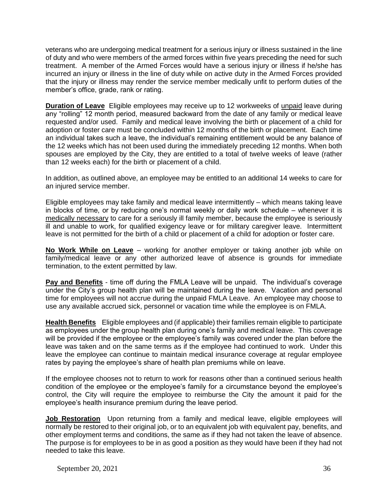veterans who are undergoing medical treatment for a serious injury or illness sustained in the line of duty and who were members of the armed forces within five years preceding the need for such treatment. A member of the Armed Forces would have a serious injury or illness if he/she has incurred an injury or illness in the line of duty while on active duty in the Armed Forces provided that the injury or illness may render the service member medically unfit to perform duties of the member's office, grade, rank or rating.

**Duration of Leave** Eligible employees may receive up to 12 workweeks of unpaid leave during any "rolling" 12 month period, measured backward from the date of any family or medical leave requested and/or used. Family and medical leave involving the birth or placement of a child for adoption or foster care must be concluded within 12 months of the birth or placement. Each time an individual takes such a leave, the individual's remaining entitlement would be any balance of the 12 weeks which has not been used during the immediately preceding 12 months. When both spouses are employed by the City, they are entitled to a total of twelve weeks of leave (rather than 12 weeks each) for the birth or placement of a child.

In addition, as outlined above, an employee may be entitled to an additional 14 weeks to care for an injured service member.

Eligible employees may take family and medical leave intermittently – which means taking leave in blocks of time, or by reducing one's normal weekly or daily work schedule – whenever it is medically necessary to care for a seriously ill family member, because the employee is seriously ill and unable to work, for qualified exigency leave or for military caregiver leave. Intermittent leave is not permitted for the birth of a child or placement of a child for adoption or foster care.

**No Work While on Leave** – working for another employer or taking another job while on family/medical leave or any other authorized leave of absence is grounds for immediate termination, to the extent permitted by law.

**Pay and Benefits** - time off during the FMLA Leave will be unpaid. The individual's coverage under the City's group health plan will be maintained during the leave. Vacation and personal time for employees will not accrue during the unpaid FMLA Leave. An employee may choose to use any available accrued sick, personnel or vacation time while the employee is on FMLA.

**Health Benefits** Eligible employees and (if applicable) their families remain eligible to participate as employees under the group health plan during one's family and medical leave. This coverage will be provided if the employee or the employee's family was covered under the plan before the leave was taken and on the same terms as if the employee had continued to work. Under this leave the employee can continue to maintain medical insurance coverage at regular employee rates by paying the employee's share of health plan premiums while on leave.

If the employee chooses not to return to work for reasons other than a continued serious health condition of the employee or the employee's family for a circumstance beyond the employee's control, the City will require the employee to reimburse the City the amount it paid for the employee's health insurance premium during the leave period.

**Job Restoration** Upon returning from a family and medical leave, eligible employees will normally be restored to their original job, or to an equivalent job with equivalent pay, benefits, and other employment terms and conditions, the same as if they had not taken the leave of absence. The purpose is for employees to be in as good a position as they would have been if they had not needed to take this leave.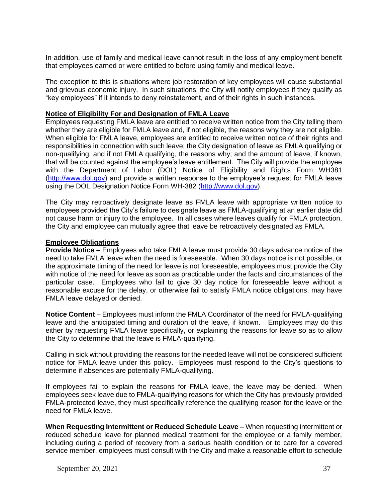In addition, use of family and medical leave cannot result in the loss of any employment benefit that employees earned or were entitled to before using family and medical leave.

The exception to this is situations where job restoration of key employees will cause substantial and grievous economic injury. In such situations, the City will notify employees if they qualify as "key employees" if it intends to deny reinstatement, and of their rights in such instances.

#### **Notice of Eligibility For and Designation of FMLA Leave**

Employees requesting FMLA leave are entitled to receive written notice from the City telling them whether they are eligible for FMLA leave and, if not eligible, the reasons why they are not eligible. When eligible for FMLA leave, employees are entitled to receive written notice of their rights and responsibilities in connection with such leave; the City designation of leave as FMLA qualifying or non-qualifying, and if not FMLA qualifying, the reasons why; and the amount of leave, if known, that will be counted against the employee's leave entitlement. The City will provide the employee with the Department of Labor (DOL) Notice of Eligibility and Rights Form WH381 [\(http://www.dol.gov\)](http://www.dol.gov/) and provide a written response to the employee's request for FMLA leave using the DOL Designation Notice Form WH-382 [\(http://www.dol.gov\)](http://www.dol.gov/).

The City may retroactively designate leave as FMLA leave with appropriate written notice to employees provided the City's failure to designate leave as FMLA-qualifying at an earlier date did not cause harm or injury to the employee. In all cases where leaves qualify for FMLA protection, the City and employee can mutually agree that leave be retroactively designated as FMLA.

#### **Employee Obligations**

**Provide Notice** – Employees who take FMLA leave must provide 30 days advance notice of the need to take FMLA leave when the need is foreseeable. When 30 days notice is not possible, or the approximate timing of the need for leave is not foreseeable, employees must provide the City with notice of the need for leave as soon as practicable under the facts and circumstances of the particular case. Employees who fail to give 30 day notice for foreseeable leave without a reasonable excuse for the delay, or otherwise fail to satisfy FMLA notice obligations, may have FMLA leave delayed or denied.

**Notice Content** – Employees must inform the FMLA Coordinator of the need for FMLA-qualifying leave and the anticipated timing and duration of the leave, if known. Employees may do this either by requesting FMLA leave specifically, or explaining the reasons for leave so as to allow the City to determine that the leave is FMLA-qualifying.

Calling in sick without providing the reasons for the needed leave will not be considered sufficient notice for FMLA leave under this policy. Employees must respond to the City's questions to determine if absences are potentially FMLA-qualifying.

If employees fail to explain the reasons for FMLA leave, the leave may be denied. When employees seek leave due to FMLA-qualifying reasons for which the City has previously provided FMLA-protected leave, they must specifically reference the qualifying reason for the leave or the need for FMLA leave.

**When Requesting Intermittent or Reduced Schedule Leave** – When requesting intermittent or reduced schedule leave for planned medical treatment for the employee or a family member, including during a period of recovery from a serious health condition or to care for a covered service member, employees must consult with the City and make a reasonable effort to schedule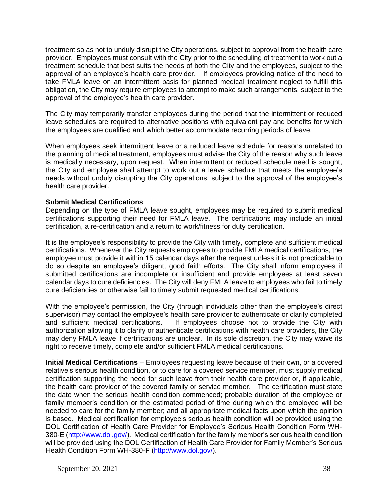treatment so as not to unduly disrupt the City operations, subject to approval from the health care provider. Employees must consult with the City prior to the scheduling of treatment to work out a treatment schedule that best suits the needs of both the City and the employees, subject to the approval of an employee's health care provider. If employees providing notice of the need to take FMLA leave on an intermittent basis for planned medical treatment neglect to fulfill this obligation, the City may require employees to attempt to make such arrangements, subject to the approval of the employee's health care provider.

The City may temporarily transfer employees during the period that the intermittent or reduced leave schedules are required to alternative positions with equivalent pay and benefits for which the employees are qualified and which better accommodate recurring periods of leave.

When employees seek intermittent leave or a reduced leave schedule for reasons unrelated to the planning of medical treatment, employees must advise the City of the reason why such leave is medically necessary, upon request. When intermittent or reduced schedule need is sought, the City and employee shall attempt to work out a leave schedule that meets the employee's needs without unduly disrupting the City operations, subject to the approval of the employee's health care provider.

#### **Submit Medical Certifications**

Depending on the type of FMLA leave sought, employees may be required to submit medical certifications supporting their need for FMLA leave. The certifications may include an initial certification, a re-certification and a return to work/fitness for duty certification.

It is the employee's responsibility to provide the City with timely, complete and sufficient medical certifications. Whenever the City requests employees to provide FMLA medical certifications, the employee must provide it within 15 calendar days after the request unless it is not practicable to do so despite an employee's diligent, good faith efforts. The City shall inform employees if submitted certifications are incomplete or insufficient and provide employees at least seven calendar days to cure deficiencies. The City will deny FMLA leave to employees who fail to timely cure deficiencies or otherwise fail to timely submit requested medical certifications.

With the employee's permission, the City (through individuals other than the employee's direct supervisor) may contact the employee's health care provider to authenticate or clarify completed and sufficient medical certifications. If employees choose not to provide the City with authorization allowing it to clarify or authenticate certifications with health care providers, the City may deny FMLA leave if certifications are unclear. In its sole discretion, the City may waive its right to receive timely, complete and/or sufficient FMLA medical certifications.

**Initial Medical Certifications** – Employees requesting leave because of their own, or a covered relative's serious health condition, or to care for a covered service member, must supply medical certification supporting the need for such leave from their health care provider or, if applicable, the health care provider of the covered family or service member. The certification must state the date when the serious health condition commenced; probable duration of the employee or family member's condition or the estimated period of time during which the employee will be needed to care for the family member; and all appropriate medical facts upon which the opinion is based. Medical certification for employee's serious health condition will be provided using the DOL Certification of Health Care Provider for Employee's Serious Health Condition Form WH-380-E [\(http://www.dol.gov/\)](http://www.dol.gov/). Medical certification for the family member's serious health condition will be provided using the DOL Certification of Health Care Provider for Family Member's Serious Health Condition Form WH-380-F [\(http://www.dol.gov/\)](http://www.dol.gov/).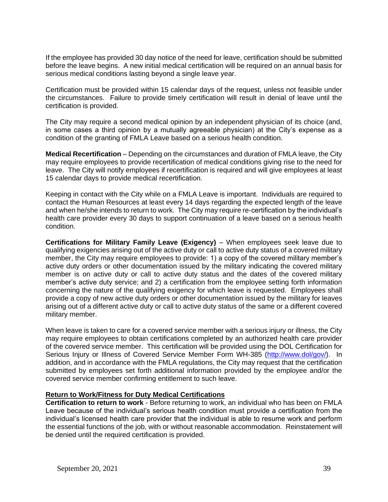If the employee has provided 30 day notice of the need for leave, certification should be submitted before the leave begins. A new initial medical certification will be required on an annual basis for serious medical conditions lasting beyond a single leave year.

Certification must be provided within 15 calendar days of the request, unless not feasible under the circumstances. Failure to provide timely certification will result in denial of leave until the certification is provided.

The City may require a second medical opinion by an independent physician of its choice (and, in some cases a third opinion by a mutually agreeable physician) at the City's expense as a condition of the granting of FMLA Leave based on a serious health condition.

**Medical Recertification** – Depending on the circumstances and duration of FMLA leave, the City may require employees to provide recertification of medical conditions giving rise to the need for leave. The City will notify employees if recertification is required and will give employees at least 15 calendar days to provide medical recertification.

Keeping in contact with the City while on a FMLA Leave is important. Individuals are required to contact the Human Resources at least every 14 days regarding the expected length of the leave and when he/she intends to return to work. The City may require re-certification by the individual's health care provider every 30 days to support continuation of a leave based on a serious health condition.

**Certifications for Military Family Leave (Exigency)** – When employees seek leave due to qualifying exigencies arising out of the active duty or call to active duty status of a covered military member, the City may require employees to provide: 1) a copy of the covered military member's active duty orders or other documentation issued by the military indicating the covered military member is on active duty or call to active duty status and the dates of the covered military member's active duty service; and 2) a certification from the employee setting forth information concerning the nature of the qualifying exigency for which leave is requested. Employees shall provide a copy of new active duty orders or other documentation issued by the military for leaves arising out of a different active duty or call to active duty status of the same or a different covered military member.

When leave is taken to care for a covered service member with a serious injury or illness, the City may require employees to obtain certifications completed by an authorized health care provider of the covered service member. This certification will be provided using the DOL Certification for Serious Injury or Illness of Covered Service Member Form WH-385 [\(http://www.dol/gov/\)](http://www.dol/gov/). In addition, and in accordance with the FMLA regulations, the City may request that the certification submitted by employees set forth additional information provided by the employee and/or the covered service member confirming entitlement to such leave.

#### **Return to Work/Fitness for Duty Medical Certifications**

**Certification to return to work** - Before returning to work, an individual who has been on FMLA Leave because of the individual's serious health condition must provide a certification from the individual's licensed health care provider that the individual is able to resume work and perform the essential functions of the job, with or without reasonable accommodation. Reinstatement will be denied until the required certification is provided.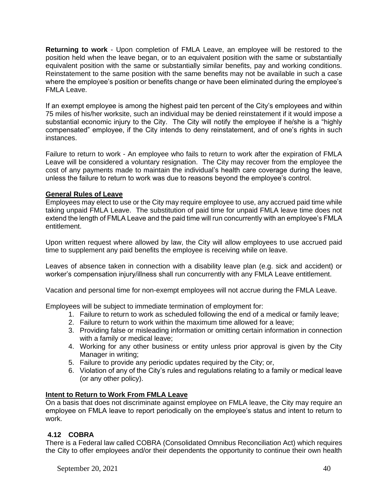**Returning to work** - Upon completion of FMLA Leave, an employee will be restored to the position held when the leave began, or to an equivalent position with the same or substantially equivalent position with the same or substantially similar benefits, pay and working conditions. Reinstatement to the same position with the same benefits may not be available in such a case where the employee's position or benefits change or have been eliminated during the employee's FMLA Leave.

If an exempt employee is among the highest paid ten percent of the City's employees and within 75 miles of his/her worksite, such an individual may be denied reinstatement if it would impose a substantial economic injury to the City. The City will notify the employee if he/she is a "highly compensated" employee, if the City intends to deny reinstatement, and of one's rights in such instances.

Failure to return to work - An employee who fails to return to work after the expiration of FMLA Leave will be considered a voluntary resignation. The City may recover from the employee the cost of any payments made to maintain the individual's health care coverage during the leave, unless the failure to return to work was due to reasons beyond the employee's control.

## **General Rules of Leave**

Employees may elect to use or the City may require employee to use, any accrued paid time while taking unpaid FMLA Leave. The substitution of paid time for unpaid FMLA leave time does not extend the length of FMLA Leave and the paid time will run concurrently with an employee's FMLA entitlement.

Upon written request where allowed by law, the City will allow employees to use accrued paid time to supplement any paid benefits the employee is receiving while on leave.

Leaves of absence taken in connection with a disability leave plan (e.g. sick and accident) or worker's compensation injury/illness shall run concurrently with any FMLA Leave entitlement.

Vacation and personal time for non-exempt employees will not accrue during the FMLA Leave.

Employees will be subject to immediate termination of employment for:

- 1. Failure to return to work as scheduled following the end of a medical or family leave;
- 2. Failure to return to work within the maximum time allowed for a leave;
- 3. Providing false or misleading information or omitting certain information in connection with a family or medical leave;
- 4. Working for any other business or entity unless prior approval is given by the City Manager in writing;
- 5. Failure to provide any periodic updates required by the City; or,
- 6. Violation of any of the City's rules and regulations relating to a family or medical leave (or any other policy).

# **Intent to Return to Work From FMLA Leave**

On a basis that does not discriminate against employee on FMLA leave, the City may require an employee on FMLA leave to report periodically on the employee's status and intent to return to work.

# **4.12 COBRA**

There is a Federal law called COBRA (Consolidated Omnibus Reconciliation Act) which requires the City to offer employees and/or their dependents the opportunity to continue their own health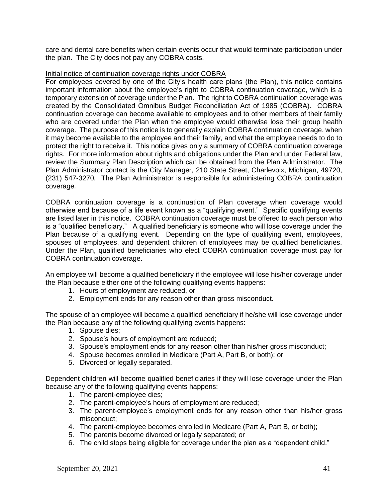care and dental care benefits when certain events occur that would terminate participation under the plan. The City does not pay any COBRA costs.

#### Initial notice of continuation coverage rights under COBRA

For employees covered by one of the City's health care plans (the Plan), this notice contains important information about the employee's right to COBRA continuation coverage, which is a temporary extension of coverage under the Plan. The right to COBRA continuation coverage was created by the Consolidated Omnibus Budget Reconciliation Act of 1985 (COBRA). COBRA continuation coverage can become available to employees and to other members of their family who are covered under the Plan when the employee would otherwise lose their group health coverage. The purpose of this notice is to generally explain COBRA continuation coverage, when it may become available to the employee and their family, and what the employee needs to do to protect the right to receive it. This notice gives only a summary of COBRA continuation coverage rights. For more information about rights and obligations under the Plan and under Federal law, review the Summary Plan Description which can be obtained from the Plan Administrator. The Plan Administrator contact is the City Manager, 210 State Street, Charlevoix, Michigan, 49720, (231) 547-3270*.* The Plan Administrator is responsible for administering COBRA continuation coverage*.*

COBRA continuation coverage is a continuation of Plan coverage when coverage would otherwise end because of a life event known as a "qualifying event." Specific qualifying events are listed later in this notice. COBRA continuation coverage must be offered to each person who is a "qualified beneficiary." A qualified beneficiary is someone who will lose coverage under the Plan because of a qualifying event. Depending on the type of qualifying event, employees, spouses of employees, and dependent children of employees may be qualified beneficiaries. Under the Plan, qualified beneficiaries who elect COBRA continuation coverage must pay for COBRA continuation coverage.

An employee will become a qualified beneficiary if the employee will lose his/her coverage under the Plan because either one of the following qualifying events happens:

- 1. Hours of employment are reduced, or
- 2. Employment ends for any reason other than gross misconduct.

The spouse of an employee will become a qualified beneficiary if he/she will lose coverage under the Plan because any of the following qualifying events happens:

- 1. Spouse dies;
- 2. Spouse's hours of employment are reduced;
- 3. Spouse's employment ends for any reason other than his/her gross misconduct;
- 4. Spouse becomes enrolled in Medicare (Part A, Part B, or both); or
- 5. Divorced or legally separated.

Dependent children will become qualified beneficiaries if they will lose coverage under the Plan because any of the following qualifying events happens:

- 1. The parent-employee dies;
- 2. The parent-employee's hours of employment are reduced;
- 3. The parent-employee's employment ends for any reason other than his/her gross misconduct;
- 4. The parent-employee becomes enrolled in Medicare (Part A, Part B, or both);
- 5. The parents become divorced or legally separated; or
- 6. The child stops being eligible for coverage under the plan as a "dependent child."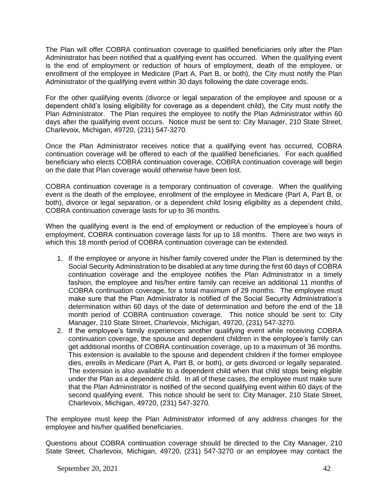The Plan will offer COBRA continuation coverage to qualified beneficiaries only after the Plan Administrator has been notified that a qualifying event has occurred. When the qualifying event is the end of employment or reduction of hours of employment, death of the employee, or enrollment of the employee in Medicare (Part A, Part B, or both), the City must notify the Plan Administrator of the qualifying event within 30 days following the date coverage ends.

For the other qualifying events (divorce or legal separation of the employee and spouse or a dependent child's losing eligibility for coverage as a dependent child), the City must notify the Plan Administrator. The Plan requires the employee to notify the Plan Administrator within 60 days after the qualifying event occurs. Notice must be sent to: City Manager, 210 State Street, Charlevoix, Michigan, 49720, (231) 547-3270*.*

Once the Plan Administrator receives notice that a qualifying event has occurred, COBRA continuation coverage will be offered to each of the qualified beneficiaries. For each qualified beneficiary who elects COBRA continuation coverage, COBRA continuation coverage will begin on the date that Plan coverage would otherwise have been lost.

COBRA continuation coverage is a temporary continuation of coverage. When the qualifying event is the death of the employee, enrollment of the employee in Medicare (Part A, Part B, or both), divorce or legal separation, or a dependent child losing eligibility as a dependent child, COBRA continuation coverage lasts for up to 36 months.

When the qualifying event is the end of employment or reduction of the employee's hours of employment, COBRA continuation coverage lasts for up to 18 months. There are two ways in which this 18 month period of COBRA continuation coverage can be extended.

- 1. If the employee or anyone in his/her family covered under the Plan is determined by the Social Security Administration to be disabled at any time during the first 60 days of COBRA continuation coverage and the employee notifies the Plan Administrator in a timely fashion, the employee and his/her entire family can receive an additional 11 months of COBRA continuation coverage, for a total maximum of 29 months. The employee must make sure that the Plan Administrator is notified of the Social Security Administration's determination within 60 days of the date of determination and before the end of the 18 month period of COBRA continuation coverage. This notice should be sent to: City Manager, 210 State Street, Charlevoix, Michigan, 49720, (231) 547-3270*.*
- 2. If the employee's family experiences another qualifying event while receiving COBRA continuation coverage, the spouse and dependent children in the employee's family can get additional months of COBRA continuation coverage, up to a maximum of 36 months. This extension is available to the spouse and dependent children if the former employee dies, enrolls in Medicare (Part A, Part B, or both), or gets divorced or legally separated. The extension is also available to a dependent child when that child stops being eligible under the Plan as a dependent child. In all of these cases, the employee must make sure that the Plan Administrator is notified of the second qualifying event within 60 days of the second qualifying event. This notice should be sent to: City Manager, 210 State Street, Charlevoix, Michigan, 49720, (231) 547-3270*.*

The employee must keep the Plan Administrator informed of any address changes for the employee and his/her qualified beneficiaries.

Questions about COBRA continuation coverage should be directed to the City Manager, 210 State Street, Charlevoix, Michigan, 49720, (231) 547-3270 or an employee may contact the

September 20, 2021 42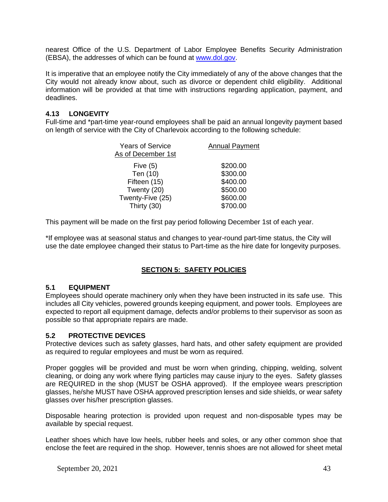nearest Office of the U.S. Department of Labor Employee Benefits Security Administration (EBSA), the addresses of which can be found at [www.dol.gov.](http://www.dol.gov/)

It is imperative that an employee notify the City immediately of any of the above changes that the City would not already know about, such as divorce or dependent child eligibility. Additional information will be provided at that time with instructions regarding application, payment, and deadlines.

## **4.13 LONGEVITY**

Full-time and \*part-time year-round employees shall be paid an annual longevity payment based on length of service with the City of Charlevoix according to the following schedule:

| <b>Years of Service</b><br>As of December 1st | <b>Annual Payment</b> |
|-----------------------------------------------|-----------------------|
| Five $(5)$                                    | \$200.00              |
| Ten (10)                                      | \$300.00              |
| Fifteen (15)                                  | \$400.00              |
| Twenty (20)                                   | \$500.00              |
| Twenty-Five (25)                              | \$600.00              |
| Thirty (30)                                   | \$700.00              |

This payment will be made on the first pay period following December 1st of each year.

\*If employee was at seasonal status and changes to year-round part-time status, the City will use the date employee changed their status to Part-time as the hire date for longevity purposes.

# **SECTION 5: SAFETY POLICIES**

#### **5.1 EQUIPMENT**

Employees should operate machinery only when they have been instructed in its safe use. This includes all City vehicles, powered grounds keeping equipment, and power tools. Employees are expected to report all equipment damage, defects and/or problems to their supervisor as soon as possible so that appropriate repairs are made.

## **5.2 PROTECTIVE DEVICES**

Protective devices such as safety glasses, hard hats, and other safety equipment are provided as required to regular employees and must be worn as required.

Proper goggles will be provided and must be worn when grinding, chipping, welding, solvent cleaning, or doing any work where flying particles may cause injury to the eyes. Safety glasses are REQUIRED in the shop (MUST be OSHA approved). If the employee wears prescription glasses, he/she MUST have OSHA approved prescription lenses and side shields, or wear safety glasses over his/her prescription glasses.

Disposable hearing protection is provided upon request and non-disposable types may be available by special request.

Leather shoes which have low heels, rubber heels and soles, or any other common shoe that enclose the feet are required in the shop. However, tennis shoes are not allowed for sheet metal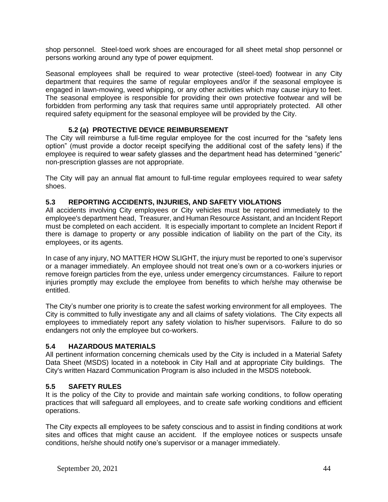shop personnel. Steel-toed work shoes are encouraged for all sheet metal shop personnel or persons working around any type of power equipment.

Seasonal employees shall be required to wear protective (steel-toed) footwear in any City department that requires the same of regular employees and/or if the seasonal employee is engaged in lawn-mowing, weed whipping, or any other activities which may cause injury to feet. The seasonal employee is responsible for providing their own protective footwear and will be forbidden from performing any task that requires same until appropriately protected. All other required safety equipment for the seasonal employee will be provided by the City.

## **5.2 (a) PROTECTIVE DEVICE REIMBURSEMENT**

The City will reimburse a full-time regular employee for the cost incurred for the "safety lens option" (must provide a doctor receipt specifying the additional cost of the safety lens) if the employee is required to wear safety glasses and the department head has determined "generic" non-prescription glasses are not appropriate.

The City will pay an annual flat amount to full-time regular employees required to wear safety shoes.

#### **5.3 REPORTING ACCIDENTS, INJURIES, AND SAFETY VIOLATIONS**

All accidents involving City employees or City vehicles must be reported immediately to the employee's department head, Treasurer, and Human Resource Assistant, and an Incident Report must be completed on each accident. It is especially important to complete an Incident Report if there is damage to property or any possible indication of liability on the part of the City, its employees, or its agents.

In case of any injury, NO MATTER HOW SLIGHT, the injury must be reported to one's supervisor or a manager immediately. An employee should not treat one's own or a co-workers injuries or remove foreign particles from the eye, unless under emergency circumstances. Failure to report injuries promptly may exclude the employee from benefits to which he/she may otherwise be entitled.

The City's number one priority is to create the safest working environment for all employees. The City is committed to fully investigate any and all claims of safety violations. The City expects all employees to immediately report any safety violation to his/her supervisors. Failure to do so endangers not only the employee but co-workers.

#### **5.4 HAZARDOUS MATERIALS**

All pertinent information concerning chemicals used by the City is included in a Material Safety Data Sheet (MSDS) located in a notebook in City Hall and at appropriate City buildings. The City's written Hazard Communication Program is also included in the MSDS notebook.

#### **5.5 SAFETY RULES**

It is the policy of the City to provide and maintain safe working conditions, to follow operating practices that will safeguard all employees, and to create safe working conditions and efficient operations.

The City expects all employees to be safety conscious and to assist in finding conditions at work sites and offices that might cause an accident. If the employee notices or suspects unsafe conditions, he/she should notify one's supervisor or a manager immediately.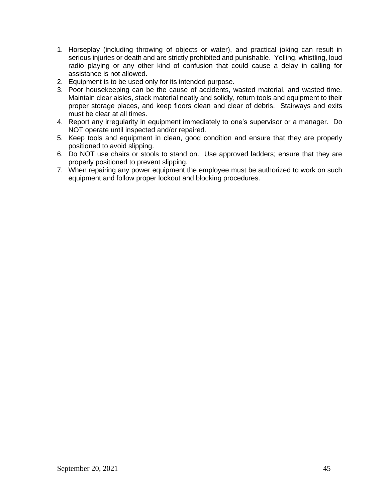- 1. Horseplay (including throwing of objects or water), and practical joking can result in serious injuries or death and are strictly prohibited and punishable. Yelling, whistling, loud radio playing or any other kind of confusion that could cause a delay in calling for assistance is not allowed.
- 2. Equipment is to be used only for its intended purpose.
- 3. Poor housekeeping can be the cause of accidents, wasted material, and wasted time. Maintain clear aisles, stack material neatly and solidly, return tools and equipment to their proper storage places, and keep floors clean and clear of debris. Stairways and exits must be clear at all times.
- 4. Report any irregularity in equipment immediately to one's supervisor or a manager. Do NOT operate until inspected and/or repaired.
- 5. Keep tools and equipment in clean, good condition and ensure that they are properly positioned to avoid slipping.
- 6. Do NOT use chairs or stools to stand on. Use approved ladders; ensure that they are properly positioned to prevent slipping.
- 7. When repairing any power equipment the employee must be authorized to work on such equipment and follow proper lockout and blocking procedures.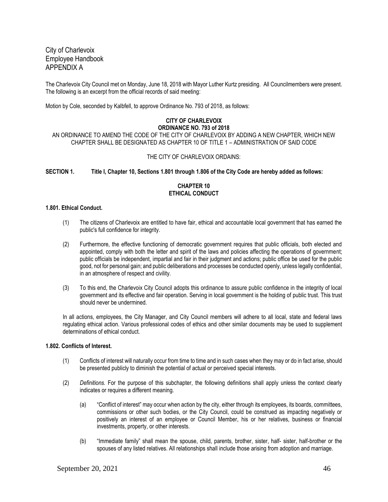City of Charlevoix Employee Handbook APPENDIX A

The Charlevoix City Council met on Monday, June 18, 2018 with Mayor Luther Kurtz presiding. All Councilmembers were present. The following is an excerpt from the official records of said meeting:

Motion by Cole, seconded by Kalbfell, to approve Ordinance No. 793 of 2018, as follows:

#### **CITY OF CHARLEVOIX ORDINANCE NO. 793 of 2018**

AN ORDINANCE TO AMEND THE CODE OF THE CITY OF CHARLEVOIX BY ADDING A NEW CHAPTER, WHICH NEW CHAPTER SHALL BE DESIGNATED AS CHAPTER 10 OF TITLE 1 – ADMINISTRATION OF SAID CODE

#### THE CITY OF CHARLEVOIX ORDAINS:

**SECTION 1. Title I, Chapter 10, Sections 1.801 through 1.806 of the City Code are hereby added as follows:**

#### **CHAPTER 10 ETHICAL CONDUCT**

#### **1.801. Ethical Conduct.**

- (1) The citizens of Charlevoix are entitled to have fair, ethical and accountable local government that has earned the public's full confidence for integrity.
- (2) Furthermore, the effective functioning of democratic government requires that public officials, both elected and appointed, comply with both the letter and spirit of the laws and policies affecting the operations of government; public officials be independent, impartial and fair in their judgment and actions; public office be used for the public good, not for personal gain; and public deliberations and processes be conducted openly, unless legally confidential, in an atmosphere of respect and civility.
- (3) To this end, the Charlevoix City Council adopts this ordinance to assure public confidence in the integrity of local government and its effective and fair operation. Serving in local government is the holding of public trust. This trust should never be undermined.

In all actions, employees, the City Manager, and City Council members will adhere to all local, state and federal laws regulating ethical action. Various professional codes of ethics and other similar documents may be used to supplement determinations of ethical conduct.

#### **1.802. Conflicts of Interest.**

- (1) Conflicts of interest will naturally occur from time to time and in such cases when they may or do in fact arise, should be presented publicly to diminish the potential of actual or perceived special interests.
- (2) *Definitions.* For the purpose of this subchapter, the following definitions shall apply unless the context clearly indicates or requires a different meaning.
	- (a) "Conflict of interest" may occur when action by the city, either through its employees, its boards, committees, commissions or other such bodies, or the City Council, could be construed as impacting negatively or positively an interest of an employee or Council Member, his or her relatives, business or financial investments, property, or other interests.
	- (b) "Immediate family" shall mean the spouse, child, parents, brother, sister, half- sister, half-brother or the spouses of any listed relatives. All relationships shall include those arising from adoption and marriage.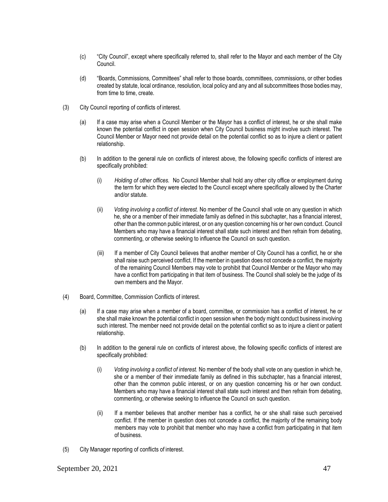- (c) "City Council", except where specifically referred to, shall refer to the Mayor and each member of the City Council.
- (d) "Boards, Commissions, Committees" shall refer to those boards, committees, commissions, or other bodies created by statute, local ordinance, resolution, local policy and any and all subcommittees those bodies may, from time to time, create.
- (3) City Council reporting of conflicts of interest.
	- (a) If a case may arise when a Council Member or the Mayor has a conflict of interest, he or she shall make known the potential conflict in open session when City Council business might involve such interest. The Council Member or Mayor need not provide detail on the potential conflict so as to injure a client or patient relationship.
	- (b) In addition to the general rule on conflicts of interest above, the following specific conflicts of interest are specifically prohibited:
		- (i) *Holding of other offices.* No Council Member shall hold any other city office or employment during the term for which they were elected to the Council except where specifically allowed by the Charter and/or statute.
		- (ii) *Voting involving a conflict of interest.* No member of the Council shall vote on any question in which he, she or a member of their immediate family as defined in this subchapter, has a financial interest, other than the common public interest, or on any question concerning his or her own conduct. Council Members who may have a financial interest shall state such interest and then refrain from debating, commenting, or otherwise seeking to influence the Council on such question.
		- (iii) If a member of City Council believes that another member of City Council has a conflict, he or she shall raise such perceived conflict. If the member in question does not concede a conflict, the majority of the remaining Council Members may vote to prohibit that Council Member or the Mayor who may have a conflict from participating in that item of business. The Council shall solely be the judge of its own members and the Mayor.
- (4) Board, Committee, Commission Conflicts of interest.
	- (a) If a case may arise when a member of a board, committee, or commission has a conflict of interest, he or she shall make known the potential conflict in open session when the body might conduct business involving such interest. The member need not provide detail on the potential conflict so as to injure a client or patient relationship.
	- (b) In addition to the general rule on conflicts of interest above, the following specific conflicts of interest are specifically prohibited:
		- (i) *Voting involving a conflict of interest.* No member of the body shall vote on any question in which he, she or a member of their immediate family as defined in this subchapter, has a financial interest, other than the common public interest, or on any question concerning his or her own conduct. Members who may have a financial interest shall state such interest and then refrain from debating, commenting, or otherwise seeking to influence the Council on such question.
		- (ii) If a member believes that another member has a conflict, he or she shall raise such perceived conflict. If the member in question does not concede a conflict, the majority of the remaining body members may vote to prohibit that member who may have a conflict from participating in that item of business.
- (5) City Manager reporting of conflicts of interest.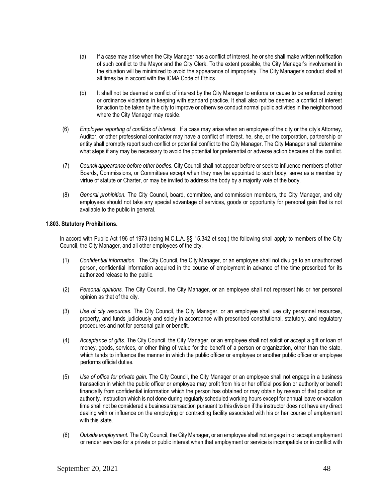- (a) If a case may arise when the City Manager has a conflict of interest, he or she shall make written notification of such conflict to the Mayor and the City Clerk. To the extent possible, the City Manager's involvement in the situation will be minimized to avoid the appearance of impropriety. The City Manager's conduct shall at all times be in accord with the ICMA Code of Ethics.
- (b) It shall not be deemed a conflict of interest by the City Manager to enforce or cause to be enforced zoning or ordinance violations in keeping with standard practice. It shall also not be deemed a conflict of interest for action to be taken by the city to improve or otherwise conduct normal public activities in the neighborhood where the City Manager may reside.
- (6) *Employee reporting of conflicts of interest.* If a case may arise when an employee of the city or the city's Attorney, Auditor, or other professional contractor may have a conflict of interest, he, she, or the corporation, partnership or entity shall promptly report such conflict or potential conflict to the City Manager. The City Manager shall determine what steps if any may be necessary to avoid the potential for preferential or adverse action because of the conflict.
- (7) *Council appearance before other bodies.* City Council shall not appear before or seek to influence members of other Boards, Commissions, or Committees except when they may be appointed to such body, serve as a member by virtue of statute or Charter, or may be invited to address the body by a majority vote of the body.
- (8) *General prohibition.* The City Council, board, committee, and commission members, the City Manager, and city employees should not take any special advantage of services, goods or opportunity for personal gain that is not available to the public in general.

#### **1.803. Statutory Prohibitions.**

In accord with Public Act 196 of 1973 (being M.C.L.A. §§ 15.342 et seq.) the following shall apply to members of the City Council, the City Manager, and all other employees of the city.

- (1) *Confidential information.* The City Council, the City Manager, or an employee shall not divulge to an unauthorized person, confidential information acquired in the course of employment in advance of the time prescribed for its authorized release to the public.
- (2) *Personal opinions.* The City Council, the City Manager, or an employee shall not represent his or her personal opinion as that of the city.
- (3) *Use of city resources.* The City Council, the City Manager, or an employee shall use city personnel resources, property, and funds judiciously and solely in accordance with prescribed constitutional, statutory, and regulatory procedures and not for personal gain or benefit.
- (4) *Acceptance of gifts.* The City Council, the City Manager, or an employee shall not solicit or accept a gift or loan of money, goods, services, or other thing of value for the benefit of a person or organization, other than the state, which tends to influence the manner in which the public officer or employee or another public officer or employee performs official duties.
- (5) *Use of office for private gain.* The City Council, the City Manager or an employee shall not engage in a business transaction in which the public officer or employee may profit from his or her official position or authority or benefit financially from confidential information which the person has obtained or may obtain by reason of that position or authority. Instruction which is not done during regularly scheduled working hours except for annual leave or vacation time shall not be considered a business transaction pursuant to this division if the instructor does not have any direct dealing with or influence on the employing or contracting facility associated with his or her course of employment with this state.
- (6) *Outside employment.* The City Council, the City Manager, or an employee shall not engage in or accept employment or render services for a private or public interest when that employment or service is incompatible or in conflict with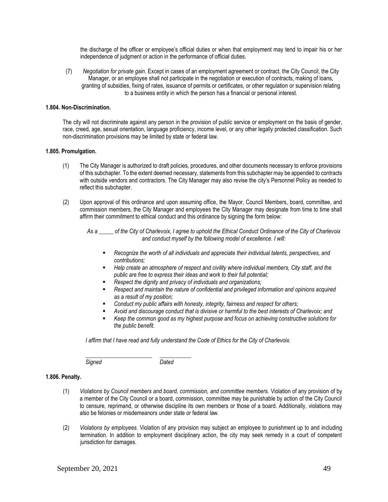the discharge of the officer or employee's official duties or when that employment may tend to impair his or her independence of judgment or action in the performance of official duties.

(7) *Negotiation for private gain.* Except in cases of an employment agreement or contract, the City Council, the City Manager, or an employee shall not participate in the negotiation or execution of contracts, making of loans, granting of subsidies, fixing of rates, issuance of permits or certificates, or other regulation or supervision relating to a business entity in which the person has a financial or personal interest.

#### **1.804. Non-Discrimination.**

The city will not discriminate against any person in the provision of public service or employment on the basis of gender, race, creed, age, sexual orientation, language proficiency, income level, or any other legally protected classification. Such non-discrimination provisions may be limited by state or federal law.

#### **1.805. Promulgation.**

- (1) The City Manager is authorized to draft policies, procedures, and other documents necessary to enforce provisions of this subchapter. To the extent deemed necessary, statements from this subchapter may be appended to contracts with outside vendors and contractors. The City Manager may also revise the city's Personnel Policy as needed to reflect this subchapter.
- (2) Upon approval of this ordinance and upon assuming office, the Mayor, Council Members, board, committee, and commission members, the City Manager and employees the City Manager may designate from time to time shall affirm their commitment to ethical conduct and this ordinance by signing the form below:

*As a \_\_\_\_\_ of the City of Charlevoix, I agree to uphold the Ethical Conduct Ordinance of the City of Charlevoix and conduct myself by the following model of excellence. I will:*

- Recognize the worth of all individuals and appreciate their individual talents, perspectives, and *contributions;*
- Help create an atmosphere of respect and civility where individual members, City staff, and the *public are free to express their ideas and work to their full potential;*
- *Respect the dignity and privacy of individuals and organizations;*
- **Respect and maintain the nature of confidential and privileged information and opinions acquired** *as a result of my position;*
- Conduct my public affairs with honesty, integrity, fairness and respect for others;
- Avoid and discourage conduct that is divisive or harmful to the best interests of Charlevoix; and
- Keep the common good as my highest purpose and focus on achieving constructive solutions for *the public benefit.*

*I affirm that I have read and fully understand the Code of Ethics for the City of Charlevoix.*

*Signed Dated*

*\_\_\_\_\_\_\_\_\_\_\_\_\_\_\_\_\_\_\_\_\_\_\_ \_\_\_\_\_\_\_\_\_\_\_*

#### **1.806. Penalty.**

- (1) *Violations by Council members and board, commission, and committee members.* Violation of any provision of by a member of the City Council or a board, commission, committee may be punishable by action of the City Council to censure, reprimand, or otherwise discipline its own members or those of a board. Additionally, violations may also be felonies or misdemeanors under state or federal law.
- (2) *Violations by employees.* Violation of any provision may subject an employee to punishment up to and including termination. In addition to employment disciplinary action, the city may seek remedy in a court of competent jurisdiction for damages.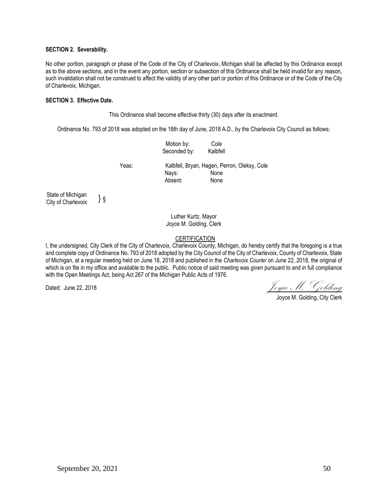#### **SECTION 2. Severability.**

No other portion, paragraph or phase of the Code of the City of Charlevoix, Michigan shall be affected by this Ordinance except as to the above sections, and in the event any portion, section or subsection of this Ordinance shall be held invalid for any reason, such invalidation shall not be construed to affect the validity of any other part or portion of this Ordinance or of the Code of the City of Charlevoix, Michigan.

#### **SECTION 3. Effective Date.**

This Ordinance shall become effective thirty (30) days after its enactment.

Ordinance No. 793 of 2018 was adopted on the 18th day of June, 2018 A.D., by the Charlevoix City Council as follows:

|                                         |    |       | Motion by:<br>Seconded by:                   | Cole<br>Kalbfell |  |
|-----------------------------------------|----|-------|----------------------------------------------|------------------|--|
|                                         |    | Yeas: | Kalbfell, Bryan, Hagen, Perron, Oleksy, Cole |                  |  |
|                                         |    |       | Nays:                                        | None             |  |
|                                         |    |       | Absent:                                      | None             |  |
| State of Michigan<br>City of Charlevoix | }§ |       |                                              |                  |  |

Luther Kurtz, Mayor Joyce M. Golding, Clerk

#### **CERTIFICATION**

I, the undersigned, City Clerk of the City of Charlevoix, Charlevoix County, Michigan, do hereby certify that the foregoing is a true and complete copy of Ordinance No. 793 of 2018 adopted by the City Council of the City of Charlevoix, County of Charlevoix, State of Michigan, at a regular meeting held on June 18, 2018 and published in the *Charlevoix Courier* on June 22, 2018, the original of which is on file in my office and available to the public. Public notice of said meeting was given pursuant to and in full compliance with the Open Meetings Act, being Act 267 of the Michigan Public Acts of 1976.

Dated: June 22, 2018  $\int_{\mathcal{O}}$   $\int_{\mathcal{O}}$   $\int_{\mathcal{O}}$   $\int_{\mathcal{O}}$   $\int_{\mathcal{O}}$   $\int_{\mathcal{O}}$   $\int_{\mathcal{O}}$   $\int_{\mathcal{O}}$   $\int_{\mathcal{O}}$   $\int_{\mathcal{O}}$   $\int_{\mathcal{O}}$   $\int_{\mathcal{O}}$   $\int_{\mathcal{O}}$   $\int_{\mathcal{O}}$ 

Joyce M. Golding, City Clerk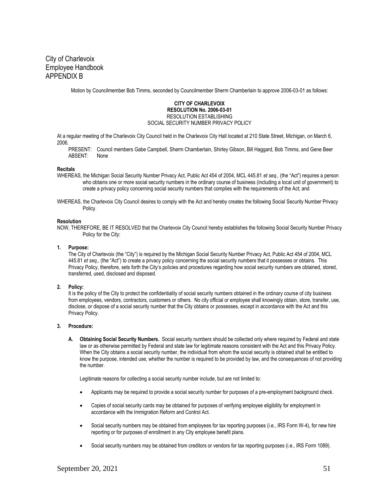City of Charlevoix Employee Handbook APPENDIX B

Motion by Councilmember Bob Timms, seconded by Councilmember Sherm Chamberlain to approve 2006-03-01 as follows:

#### **CITY OF CHARLEVOIX RESOLUTION No. 2006-03-01** RESOLUTION ESTABLISHING

SOCIAL SECURITY NUMBER PRIVACY POLICY

At a regular meeting of the Charlevoix City Council held in the Charlevoix City Hall located at 210 State Street, Michigan, on March 6, 2006.

PRESENT: Council members Gabe Campbell, Sherm Chamberlain, Shirley Gibson, Bill Haggard, Bob Timms, and Gene Beer ABSENT: None

#### **Recitals**

- WHEREAS, the Michigan Social Security Number Privacy Act, Public Act 454 of 2004, MCL 445.81 *et seq.,* (the "Act") requires a person who obtains one or more social security numbers in the ordinary course of business (including a local unit of government) to create a privacy policy concerning social security numbers that complies with the requirements of the Act; and
- WHEREAS, the Charlevoix City Council desires to comply with the Act and hereby creates the following Social Security Number Privacy **Policy**

#### **Resolution**

NOW, THEREFORE, BE IT RESOLVED that the Charlevoix City Council hereby establishes the following Social Security Number Privacy Policy for the City:

#### **1. Purpose:**

The City of Charlevoix (the "City") is required by the Michigan Social Security Number Privacy Act, Public Act 454 of 2004, MCL 445.81 *et seq.,* (the "Act") to create a privacy policy concerning the social security numbers that it possesses or obtains. This Privacy Policy, therefore, sets forth the City's policies and procedures regarding how social security numbers are obtained, stored, transferred, used, disclosed and disposed.

#### **2. Policy:**

It is the policy of the City to protect the confidentiality of social security numbers obtained in the ordinary course of city business from employees, vendors, contractors, customers or others. No city official or employee shall knowingly obtain, store, transfer, use, disclose, or dispose of a social security number that the City obtains or possesses, except in accordance with the Act and this Privacy Policy.

#### **3. Procedure:**

**A. Obtaining Social Security Numbers.** Social security numbers should be collected only where required by Federal and state law or as otherwise permitted by Federal and state law for legitimate reasons consistent with the Act and this Privacy Policy. When the City obtains a social security number, the individual from whom the social security is obtained shall be entitled to know the purpose, intended use, whether the number is required to be provided by law, and the consequences of not providing the number.

Legitimate reasons for collecting a social security number include, but are not limited to:

- Applicants may be required to provide a social security number for purposes of a pre-employment background check.
- Copies of social security cards may be obtained for purposes of verifying employee eligibility for employment in accordance with the Immigration Reform and Control Act.
- Social security numbers may be obtained from employees for tax reporting purposes (i.e., IRS Form W-4), for new hire reporting or for purposes of enrollment in any City employee benefit plans.
- Social security numbers may be obtained from creditors or vendors for tax reporting purposes (i.e., IRS Form 1089).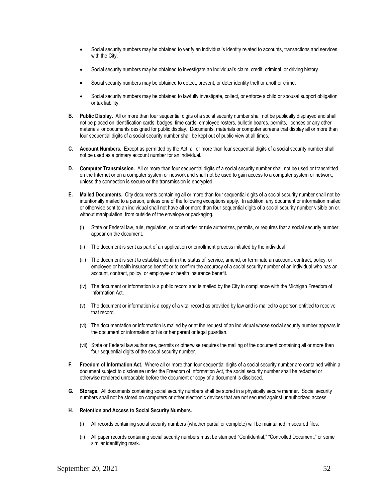- Social security numbers may be obtained to verify an individual's identity related to accounts, transactions and services with the City.
- Social security numbers may be obtained to investigate an individual's claim, credit, criminal, or driving history.
- Social security numbers may be obtained to detect, prevent, or deter identity theft or another crime.
- Social security numbers may be obtained to lawfully investigate, collect, or enforce a child or spousal support obligation or tax liability.
- **B. Public Display.** All or more than four sequential digits of a social security number shall not be publically displayed and shall not be placed on identification cards, badges, time cards, employee rosters, bulletin boards, permits, licenses or any other materials or documents designed for public display. Documents, materials or computer screens that display all or more than four sequential digits of a social security number shall be kept out of public view at all times.
- **C. Account Numbers.** Except as permitted by the Act, all or more than four sequential digits of a social security number shall not be used as a primary account number for an individual.
- **D. Computer Transmission.** All or more than four sequential digits of a social security number shall not be used or transmitted on the Internet or on a computer system or network and shall not be used to gain access to a computer system or network, unless the connection is secure or the transmission is encrypted.
- **E. Mailed Documents.** City documents containing all or more than four sequential digits of a social security number shall not be intentionally mailed to a person, unless one of the following exceptions apply. In addition, any document or information mailed or otherwise sent to an individual shall not have all or more than four sequential digits of a social security number visible on or, without manipulation, from outside of the envelope or packaging.
	- (i) State or Federal law, rule, regulation, or court order or rule authorizes, permits, or requires that a social security number appear on the document.
	- (ii) The document is sent as part of an application or enrollment process initiated by the individual.
	- (iii) The document is sent to establish, confirm the status of, service, amend, or terminate an account, contract, policy, or employee or health insurance benefit or to confirm the accuracy of a social security number of an individual who has an account, contract, policy, or employee or health insurance benefit.
	- (iv) The document or information is a public record and is mailed by the City in compliance with the Michigan Freedom of Information Act.
	- (v) The document or information is a copy of a vital record as provided by law and is mailed to a person entitled to receive that record.
	- (vi) The documentation or information is mailed by or at the request of an individual whose social security number appears in the document or information or his or her parent or legal guardian.
	- (vii) State or Federal law authorizes, permits or otherwise requires the mailing of the document containing all or more than four sequential digits of the social security number.
- **F. Freedom of Information Act.** Where all or more than four sequential digits of a social security number are contained within a document subject to disclosure under the Freedom of Information Act, the social security number shall be redacted or otherwise rendered unreadable before the document or copy of a document is disclosed.
- **G. Storage.** All documents containing social security numbers shall be stored in a physically secure manner. Social security numbers shall not be stored on computers or other electronic devices that are not secured against unauthorized access.

#### **H. Retention and Access to Social Security Numbers.**

- (i) All records containing social security numbers (whether partial or complete) will be maintained in secured files.
- (ii) All paper records containing social security numbers must be stamped "Confidential," "Controlled Document," or some similar identifying mark.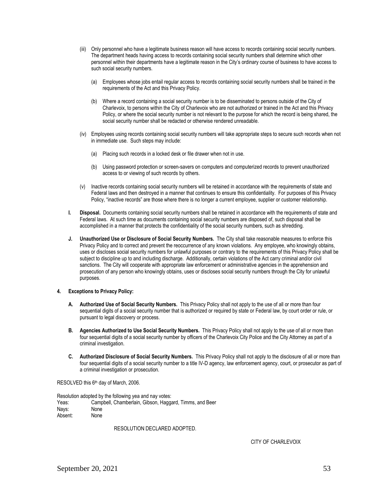- (iii) Only personnel who have a legitimate business reason will have access to records containing social security numbers. The department heads having access to records containing social security numbers shall determine which other personnel within their departments have a legitimate reason in the City's ordinary course of business to have access to such social security numbers.
	- (a) Employees whose jobs entail regular access to records containing social security numbers shall be trained in the requirements of the Act and this Privacy Policy.
	- (b) Where a record containing a social security number is to be disseminated to persons outside of the City of Charlevoix, to persons within the City of Charlevoix who are not authorized or trained in the Act and this Privacy Policy, or where the social security number is not relevant to the purpose for which the record is being shared, the social security number shall be redacted or otherwise rendered unreadable.
- (iv) Employees using records containing social security numbers will take appropriate steps to secure such records when not in immediate use. Such steps may include:
	- (a) Placing such records in a locked desk or file drawer when not in use.
	- (b) Using password protection or screen-savers on computers and computerized records to prevent unauthorized access to or viewing of such records by others.
- (v) Inactive records containing social security numbers will be retained in accordance with the requirements of state and Federal laws and then destroyed in a manner that continues to ensure this confidentiality. For purposes of this Privacy Policy, "inactive records" are those where there is no longer a current employee, supplier or customer relationship.
- **I. Disposal.** Documents containing social security numbers shall be retained in accordance with the requirements of state and Federal laws. At such time as documents containing social security numbers are disposed of, such disposal shall be accomplished in a manner that protects the confidentiality of the social security numbers, such as shredding.
- **J. Unauthorized Use or Disclosure of Social Security Numbers.** The City shall take reasonable measures to enforce this Privacy Policy and to correct and prevent the reoccurrence of any known violations. Any employee, who knowingly obtains, uses or discloses social security numbers for unlawful purposes or contrary to the requirements of this Privacy Policy shall be subject to discipline up to and including discharge. Additionally, certain violations of the Act carry criminal and/or civil sanctions. The City will cooperate with appropriate law enforcement or administrative agencies in the apprehension and prosecution of any person who knowingly obtains, uses or discloses social security numbers through the City for unlawful purposes.

#### **4. Exceptions to Privacy Policy:**

- **A. Authorized Use of Social Security Numbers.** This Privacy Policy shall not apply to the use of all or more than four sequential digits of a social security number that is authorized or required by state or Federal law, by court order or rule, or pursuant to legal discovery or process.
- **B. Agencies Authorized to Use Social Security Numbers.** This Privacy Policy shall not apply to the use of all or more than four sequential digits of a social security number by officers of the Charlevoix City Police and the City Attorney as part of a criminal investigation.
- **C. Authorized Disclosure of Social Security Numbers.** This Privacy Policy shall not apply to the disclosure of all or more than four sequential digits of a social security number to a title IV-D agency, law enforcement agency, court, or prosecutor as part of a criminal investigation or prosecution.

RESOLVED this 6<sup>th</sup> day of March, 2006.

Resolution adopted by the following yea and nay votes: Yeas: Campbell, Chamberlain, Gibson, Haggard, Timms, and Beer Nays: None Absent: None

RESOLUTION DECLARED ADOPTED.

CITY OF CHARLEVOIX